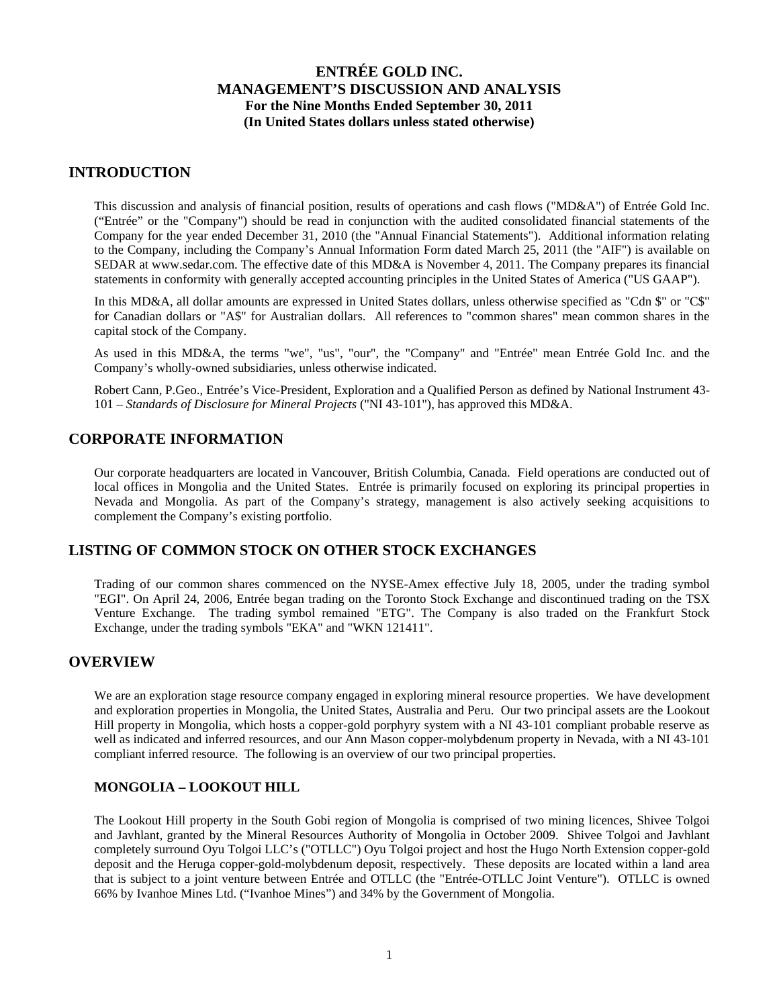### **INTRODUCTION**

This discussion and analysis of financial position, results of operations and cash flows ("MD&A") of Entrée Gold Inc. ("Entrée" or the "Company") should be read in conjunction with the audited consolidated financial statements of the Company for the year ended December 31, 2010 (the "Annual Financial Statements"). Additional information relating to the Company, including the Company's Annual Information Form dated March 25, 2011 (the "AIF") is available on SEDAR at www.sedar.com. The effective date of this MD&A is November 4, 2011. The Company prepares its financial statements in conformity with generally accepted accounting principles in the United States of America ("US GAAP").

In this MD&A, all dollar amounts are expressed in United States dollars, unless otherwise specified as "Cdn \$" or "C\$" for Canadian dollars or "A\$" for Australian dollars. All references to "common shares" mean common shares in the capital stock of the Company.

As used in this MD&A, the terms "we", "us", "our", the "Company" and "Entrée" mean Entrée Gold Inc. and the Company's wholly-owned subsidiaries, unless otherwise indicated.

Robert Cann, P.Geo., Entrée's Vice-President, Exploration and a Qualified Person as defined by National Instrument 43- 101 – *Standards of Disclosure for Mineral Projects* ("NI 43-101"), has approved this MD&A.

### **CORPORATE INFORMATION**

Our corporate headquarters are located in Vancouver, British Columbia, Canada. Field operations are conducted out of local offices in Mongolia and the United States. Entrée is primarily focused on exploring its principal properties in Nevada and Mongolia. As part of the Company's strategy, management is also actively seeking acquisitions to complement the Company's existing portfolio.

## **LISTING OF COMMON STOCK ON OTHER STOCK EXCHANGES**

Trading of our common shares commenced on the NYSE-Amex effective July 18, 2005, under the trading symbol "EGI". On April 24, 2006, Entrée began trading on the Toronto Stock Exchange and discontinued trading on the TSX Venture Exchange. The trading symbol remained "ETG". The Company is also traded on the Frankfurt Stock Exchange, under the trading symbols "EKA" and "WKN 121411".

### **OVERVIEW**

We are an exploration stage resource company engaged in exploring mineral resource properties. We have development and exploration properties in Mongolia, the United States, Australia and Peru. Our two principal assets are the Lookout Hill property in Mongolia, which hosts a copper-gold porphyry system with a NI 43-101 compliant probable reserve as well as indicated and inferred resources, and our Ann Mason copper-molybdenum property in Nevada, with a NI 43-101 compliant inferred resource. The following is an overview of our two principal properties.

### **MONGOLIA – LOOKOUT HILL**

The Lookout Hill property in the South Gobi region of Mongolia is comprised of two mining licences, Shivee Tolgoi and Javhlant, granted by the Mineral Resources Authority of Mongolia in October 2009. Shivee Tolgoi and Javhlant completely surround Oyu Tolgoi LLC's ("OTLLC") Oyu Tolgoi project and host the Hugo North Extension copper-gold deposit and the Heruga copper-gold-molybdenum deposit, respectively. These deposits are located within a land area that is subject to a joint venture between Entrée and OTLLC (the "Entrée-OTLLC Joint Venture"). OTLLC is owned 66% by Ivanhoe Mines Ltd. ("Ivanhoe Mines") and 34% by the Government of Mongolia.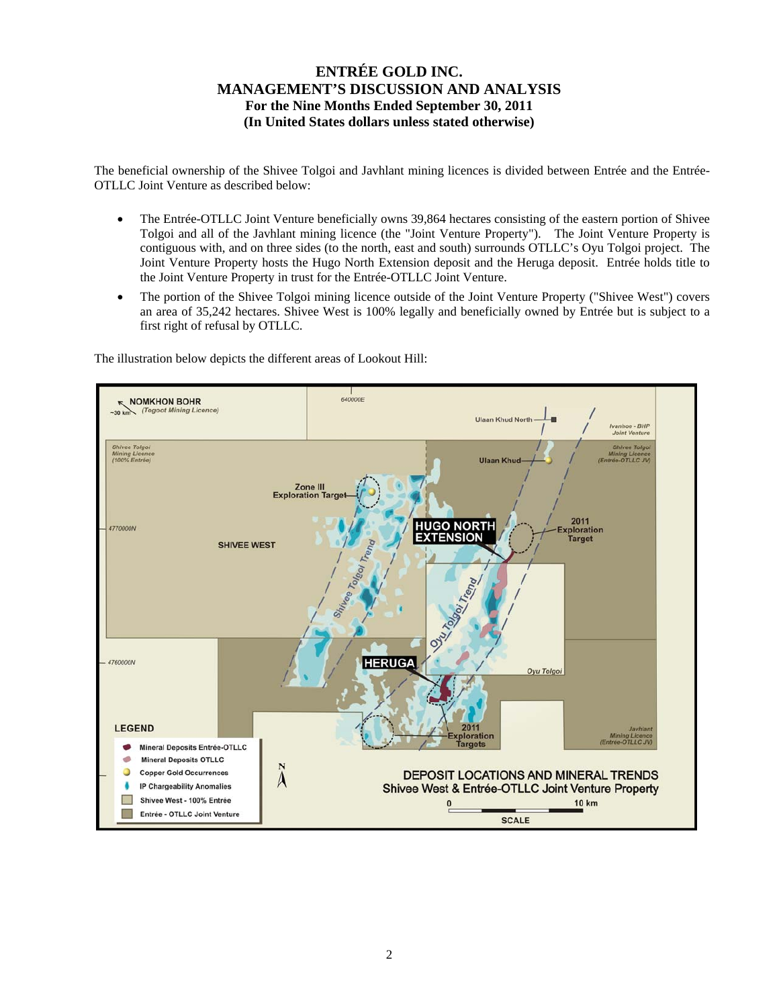The beneficial ownership of the Shivee Tolgoi and Javhlant mining licences is divided between Entrée and the Entrée-OTLLC Joint Venture as described below:

- The Entrée-OTLLC Joint Venture beneficially owns 39,864 hectares consisting of the eastern portion of Shivee Tolgoi and all of the Javhlant mining licence (the "Joint Venture Property"). The Joint Venture Property is contiguous with, and on three sides (to the north, east and south) surrounds OTLLC's Oyu Tolgoi project. The Joint Venture Property hosts the Hugo North Extension deposit and the Heruga deposit. Entrée holds title to the Joint Venture Property in trust for the Entrée-OTLLC Joint Venture.
- The portion of the Shivee Tolgoi mining licence outside of the Joint Venture Property ("Shivee West") covers an area of 35,242 hectares. Shivee West is 100% legally and beneficially owned by Entrée but is subject to a first right of refusal by OTLLC.



The illustration below depicts the different areas of Lookout Hill: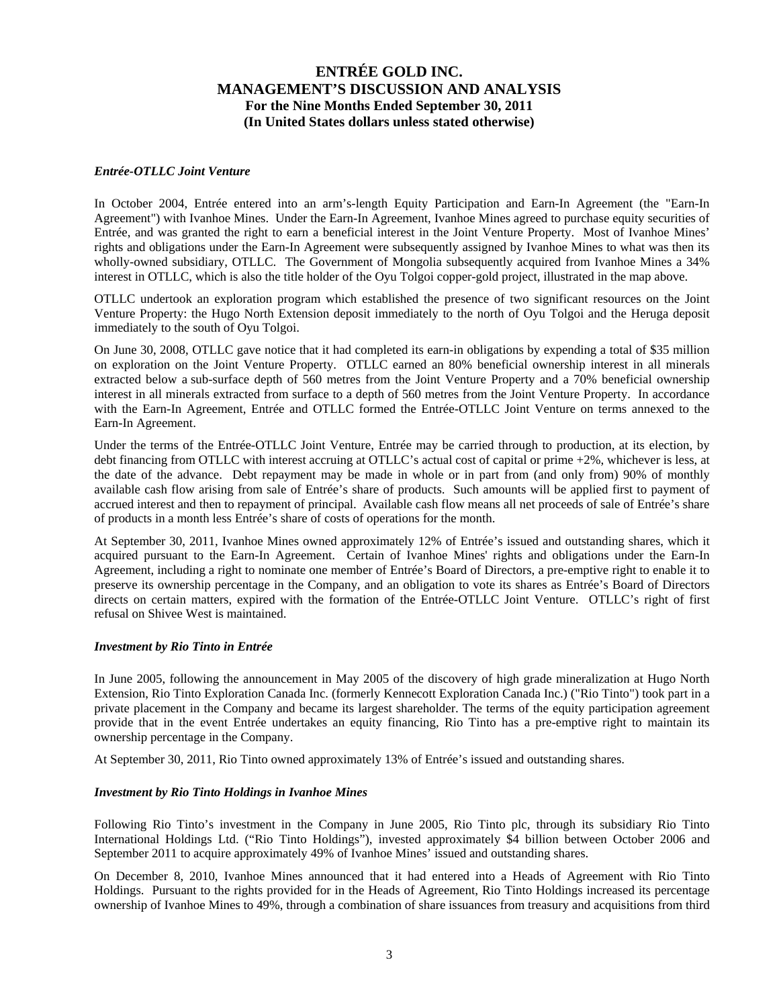#### *Entrée-OTLLC Joint Venture*

In October 2004, Entrée entered into an arm's-length Equity Participation and Earn-In Agreement (the "Earn-In Agreement") with Ivanhoe Mines. Under the Earn-In Agreement, Ivanhoe Mines agreed to purchase equity securities of Entrée, and was granted the right to earn a beneficial interest in the Joint Venture Property. Most of Ivanhoe Mines' rights and obligations under the Earn-In Agreement were subsequently assigned by Ivanhoe Mines to what was then its wholly-owned subsidiary, OTLLC. The Government of Mongolia subsequently acquired from Ivanhoe Mines a 34% interest in OTLLC, which is also the title holder of the Oyu Tolgoi copper-gold project, illustrated in the map above.

OTLLC undertook an exploration program which established the presence of two significant resources on the Joint Venture Property: the Hugo North Extension deposit immediately to the north of Oyu Tolgoi and the Heruga deposit immediately to the south of Oyu Tolgoi.

On June 30, 2008, OTLLC gave notice that it had completed its earn-in obligations by expending a total of \$35 million on exploration on the Joint Venture Property. OTLLC earned an 80% beneficial ownership interest in all minerals extracted below a sub-surface depth of 560 metres from the Joint Venture Property and a 70% beneficial ownership interest in all minerals extracted from surface to a depth of 560 metres from the Joint Venture Property. In accordance with the Earn-In Agreement, Entrée and OTLLC formed the Entrée-OTLLC Joint Venture on terms annexed to the Earn-In Agreement.

Under the terms of the Entrée-OTLLC Joint Venture, Entrée may be carried through to production, at its election, by debt financing from OTLLC with interest accruing at OTLLC's actual cost of capital or prime +2%, whichever is less, at the date of the advance. Debt repayment may be made in whole or in part from (and only from) 90% of monthly available cash flow arising from sale of Entrée's share of products. Such amounts will be applied first to payment of accrued interest and then to repayment of principal. Available cash flow means all net proceeds of sale of Entrée's share of products in a month less Entrée's share of costs of operations for the month.

At September 30, 2011, Ivanhoe Mines owned approximately 12% of Entrée's issued and outstanding shares, which it acquired pursuant to the Earn-In Agreement. Certain of Ivanhoe Mines' rights and obligations under the Earn-In Agreement, including a right to nominate one member of Entrée's Board of Directors, a pre-emptive right to enable it to preserve its ownership percentage in the Company, and an obligation to vote its shares as Entrée's Board of Directors directs on certain matters, expired with the formation of the Entrée-OTLLC Joint Venture. OTLLC's right of first refusal on Shivee West is maintained.

#### *Investment by Rio Tinto in Entrée*

In June 2005, following the announcement in May 2005 of the discovery of high grade mineralization at Hugo North Extension, Rio Tinto Exploration Canada Inc. (formerly Kennecott Exploration Canada Inc.) ("Rio Tinto") took part in a private placement in the Company and became its largest shareholder. The terms of the equity participation agreement provide that in the event Entrée undertakes an equity financing, Rio Tinto has a pre-emptive right to maintain its ownership percentage in the Company.

At September 30, 2011, Rio Tinto owned approximately 13% of Entrée's issued and outstanding shares.

#### *Investment by Rio Tinto Holdings in Ivanhoe Mines*

Following Rio Tinto's investment in the Company in June 2005, Rio Tinto plc, through its subsidiary Rio Tinto International Holdings Ltd. ("Rio Tinto Holdings"), invested approximately \$4 billion between October 2006 and September 2011 to acquire approximately 49% of Ivanhoe Mines' issued and outstanding shares.

On December 8, 2010, Ivanhoe Mines announced that it had entered into a Heads of Agreement with Rio Tinto Holdings. Pursuant to the rights provided for in the Heads of Agreement, Rio Tinto Holdings increased its percentage ownership of Ivanhoe Mines to 49%, through a combination of share issuances from treasury and acquisitions from third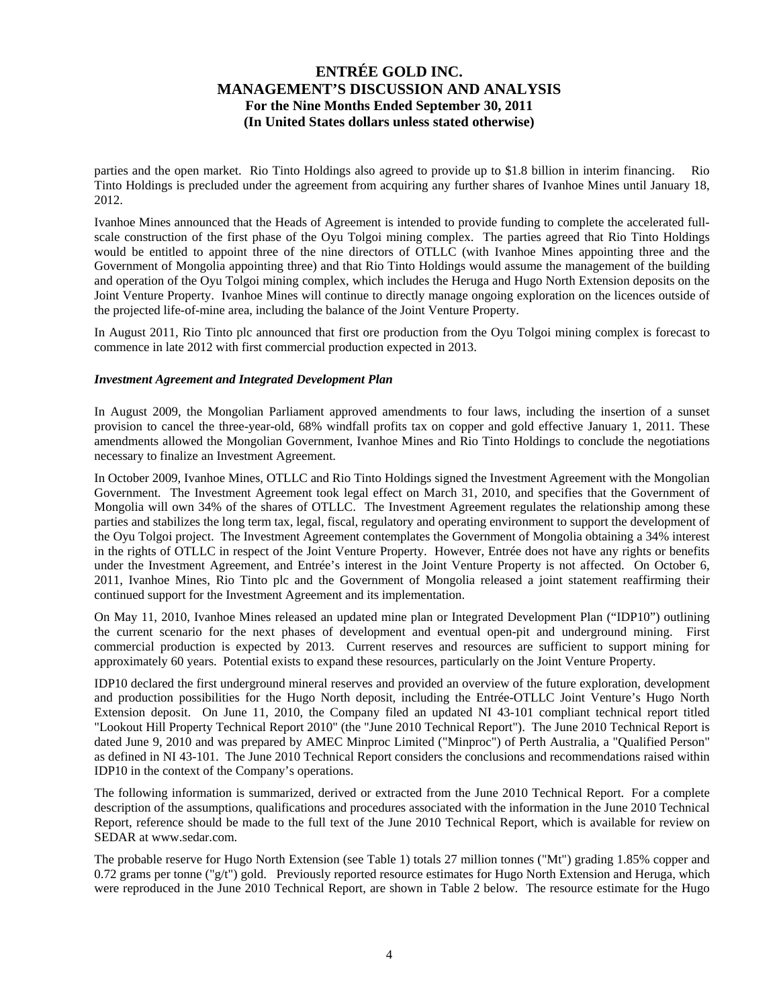parties and the open market. Rio Tinto Holdings also agreed to provide up to \$1.8 billion in interim financing. Rio Tinto Holdings is precluded under the agreement from acquiring any further shares of Ivanhoe Mines until January 18, 2012.

Ivanhoe Mines announced that the Heads of Agreement is intended to provide funding to complete the accelerated fullscale construction of the first phase of the Oyu Tolgoi mining complex. The parties agreed that Rio Tinto Holdings would be entitled to appoint three of the nine directors of OTLLC (with Ivanhoe Mines appointing three and the Government of Mongolia appointing three) and that Rio Tinto Holdings would assume the management of the building and operation of the Oyu Tolgoi mining complex, which includes the Heruga and Hugo North Extension deposits on the Joint Venture Property. Ivanhoe Mines will continue to directly manage ongoing exploration on the licences outside of the projected life-of-mine area, including the balance of the Joint Venture Property.

In August 2011, Rio Tinto plc announced that first ore production from the Oyu Tolgoi mining complex is forecast to commence in late 2012 with first commercial production expected in 2013.

#### *Investment Agreement and Integrated Development Plan*

In August 2009, the Mongolian Parliament approved amendments to four laws, including the insertion of a sunset provision to cancel the three-year-old, 68% windfall profits tax on copper and gold effective January 1, 2011. These amendments allowed the Mongolian Government, Ivanhoe Mines and Rio Tinto Holdings to conclude the negotiations necessary to finalize an Investment Agreement.

In October 2009, Ivanhoe Mines, OTLLC and Rio Tinto Holdings signed the Investment Agreement with the Mongolian Government. The Investment Agreement took legal effect on March 31, 2010, and specifies that the Government of Mongolia will own 34% of the shares of OTLLC. The Investment Agreement regulates the relationship among these parties and stabilizes the long term tax, legal, fiscal, regulatory and operating environment to support the development of the Oyu Tolgoi project. The Investment Agreement contemplates the Government of Mongolia obtaining a 34% interest in the rights of OTLLC in respect of the Joint Venture Property. However, Entrée does not have any rights or benefits under the Investment Agreement, and Entrée's interest in the Joint Venture Property is not affected. On October 6, 2011, Ivanhoe Mines, Rio Tinto plc and the Government of Mongolia released a joint statement reaffirming their continued support for the Investment Agreement and its implementation.

On May 11, 2010, Ivanhoe Mines released an updated mine plan or Integrated Development Plan ("IDP10") outlining the current scenario for the next phases of development and eventual open-pit and underground mining. First commercial production is expected by 2013. Current reserves and resources are sufficient to support mining for approximately 60 years. Potential exists to expand these resources, particularly on the Joint Venture Property.

IDP10 declared the first underground mineral reserves and provided an overview of the future exploration, development and production possibilities for the Hugo North deposit, including the Entrée-OTLLC Joint Venture's Hugo North Extension deposit. On June 11, 2010, the Company filed an updated NI 43-101 compliant technical report titled "Lookout Hill Property Technical Report 2010" (the "June 2010 Technical Report"). The June 2010 Technical Report is dated June 9, 2010 and was prepared by AMEC Minproc Limited ("Minproc") of Perth Australia, a "Qualified Person" as defined in NI 43-101. The June 2010 Technical Report considers the conclusions and recommendations raised within IDP10 in the context of the Company's operations.

The following information is summarized, derived or extracted from the June 2010 Technical Report. For a complete description of the assumptions, qualifications and procedures associated with the information in the June 2010 Technical Report, reference should be made to the full text of the June 2010 Technical Report, which is available for review on SEDAR at www.sedar.com.

The probable reserve for Hugo North Extension (see Table 1) totals 27 million tonnes ("Mt") grading 1.85% copper and 0.72 grams per tonne ("g/t") gold. Previously reported resource estimates for Hugo North Extension and Heruga, which were reproduced in the June 2010 Technical Report, are shown in Table 2 below. The resource estimate for the Hugo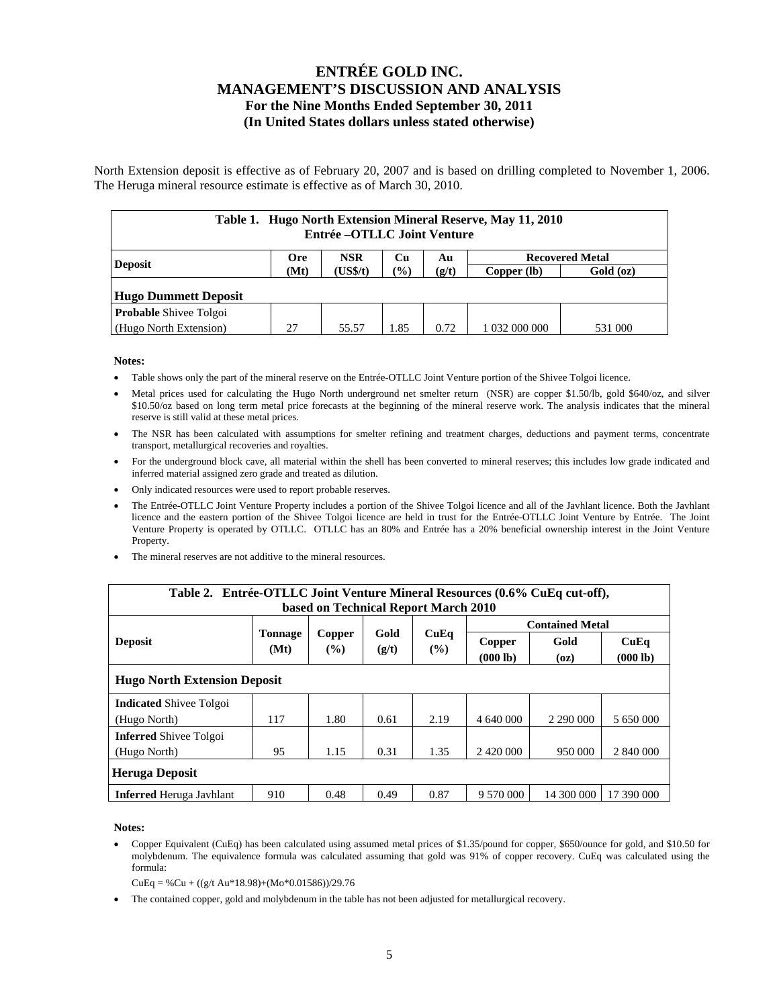North Extension deposit is effective as of February 20, 2007 and is based on drilling completed to November 1, 2006. The Heruga mineral resource estimate is effective as of March 30, 2010.

| Table 1. Hugo North Extension Mineral Reserve, May 11, 2010<br>Entrée – OTLLC Joint Venture |                                                                |          |               |       |               |           |  |  |  |  |
|---------------------------------------------------------------------------------------------|----------------------------------------------------------------|----------|---------------|-------|---------------|-----------|--|--|--|--|
| <b>Deposit</b>                                                                              | <b>NSR</b><br><b>Recovered Metal</b><br>Cп<br><b>Ore</b><br>Au |          |               |       |               |           |  |  |  |  |
|                                                                                             | (Mt)                                                           | (US\$/t) | $\frac{1}{2}$ | (g/t) | Copper (lb)   | Gold (oz) |  |  |  |  |
| <b>Hugo Dummett Deposit</b>                                                                 |                                                                |          |               |       |               |           |  |  |  |  |
| <b>Probable Shivee Tolgoi</b>                                                               |                                                                |          |               |       |               |           |  |  |  |  |
| (Hugo North Extension)                                                                      | 27                                                             | 55.57    | 1.85          | 0.72  | 1 032 000 000 | 531 000   |  |  |  |  |

#### **Notes:**

- Table shows only the part of the mineral reserve on the Entrée-OTLLC Joint Venture portion of the Shivee Tolgoi licence.
- Metal prices used for calculating the Hugo North underground net smelter return (NSR) are copper \$1.50/lb, gold \$640/oz, and silver \$10.50/oz based on long term metal price forecasts at the beginning of the mineral reserve work. The analysis indicates that the mineral reserve is still valid at these metal prices.
- The NSR has been calculated with assumptions for smelter refining and treatment charges, deductions and payment terms, concentrate transport, metallurgical recoveries and royalties.
- For the underground block cave, all material within the shell has been converted to mineral reserves; this includes low grade indicated and inferred material assigned zero grade and treated as dilution.
- Only indicated resources were used to report probable reserves.
- The Entrée-OTLLC Joint Venture Property includes a portion of the Shivee Tolgoi licence and all of the Javhlant licence. Both the Javhlant licence and the eastern portion of the Shivee Tolgoi licence are held in trust for the Entrée-OTLLC Joint Venture by Entrée. The Joint Venture Property is operated by OTLLC. OTLLC has an 80% and Entrée has a 20% beneficial ownership interest in the Joint Venture Property.
- The mineral reserves are not additive to the mineral resources.

| Table 2. Entrée-OTLLC Joint Venture Mineral Resources (0.6% CuEq cut-off),<br>based on Technical Report March 2010 |                        |                  |               |                |                        |              |                  |  |  |  |
|--------------------------------------------------------------------------------------------------------------------|------------------------|------------------|---------------|----------------|------------------------|--------------|------------------|--|--|--|
|                                                                                                                    |                        |                  |               | CuEq<br>$($ %) | <b>Contained Metal</b> |              |                  |  |  |  |
| <b>Deposit</b>                                                                                                     | <b>Tonnage</b><br>(Mt) | Copper<br>$($ %) | Gold<br>(g/t) |                | Copper<br>(000 lb)     | Gold<br>(oz) | CuEq<br>(000 lb) |  |  |  |
| <b>Hugo North Extension Deposit</b>                                                                                |                        |                  |               |                |                        |              |                  |  |  |  |
| <b>Indicated Shivee Tolgoi</b>                                                                                     |                        |                  |               |                |                        |              |                  |  |  |  |
| (Hugo North)                                                                                                       | 117                    | 1.80             | 0.61          | 2.19           | 4 640 000              | 2 290 000    | 5 650 000        |  |  |  |
| <b>Inferred Shivee Tolgoi</b>                                                                                      |                        |                  |               |                |                        |              |                  |  |  |  |
| (Hugo North)                                                                                                       | 95                     | 1.15             | 0.31          | 1.35           |                        | 950 000      | 2 840 000        |  |  |  |
| <b>Heruga Deposit</b>                                                                                              |                        |                  |               |                |                        |              |                  |  |  |  |
| <b>Inferred</b> Heruga Javhlant                                                                                    | 910                    | 0.48             | 0.49          | 0.87           | 9 570 000              | 14 300 000   | 17 390 000       |  |  |  |

#### **Notes:**

 Copper Equivalent (CuEq) has been calculated using assumed metal prices of \$1.35/pound for copper, \$650/ounce for gold, and \$10.50 for molybdenum. The equivalence formula was calculated assuming that gold was 91% of copper recovery. CuEq was calculated using the formula:

 $CuEq = % Cu + ((g/t Au*18.98)+(Mo*0.01586))/29.76$ 

The contained copper, gold and molybdenum in the table has not been adjusted for metallurgical recovery.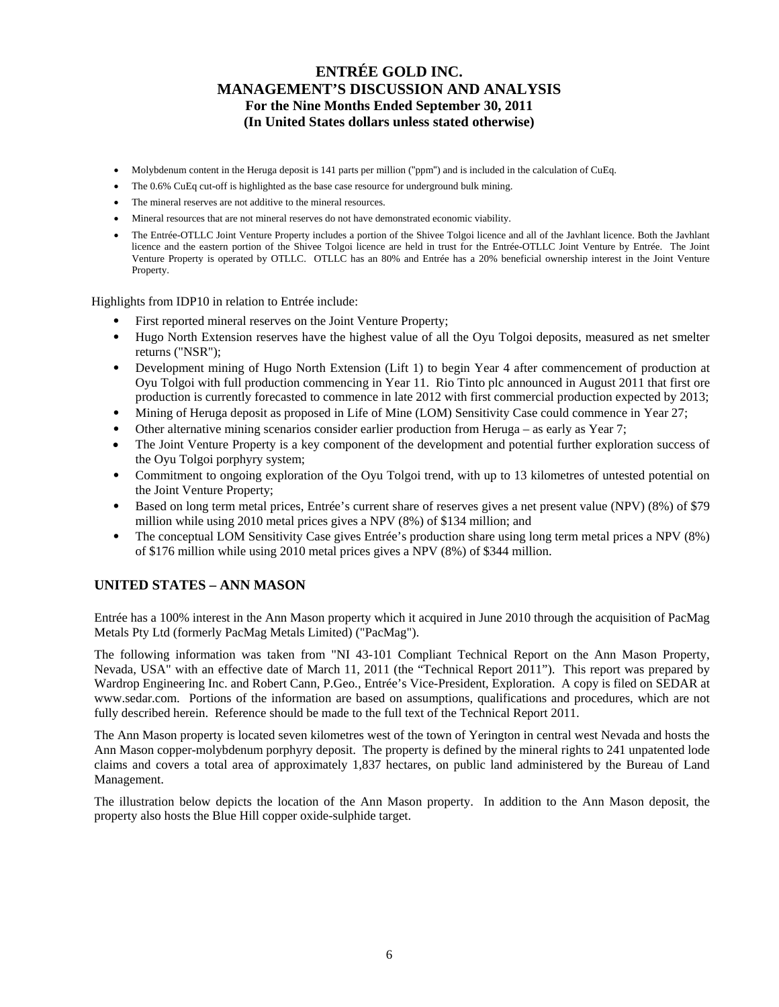- Molybdenum content in the Heruga deposit is 141 parts per million ("ppm") and is included in the calculation of CuEq.
- The 0.6% CuEq cut-off is highlighted as the base case resource for underground bulk mining.
- The mineral reserves are not additive to the mineral resources.
- Mineral resources that are not mineral reserves do not have demonstrated economic viability.
- The Entrée-OTLLC Joint Venture Property includes a portion of the Shivee Tolgoi licence and all of the Javhlant licence. Both the Javhlant licence and the eastern portion of the Shivee Tolgoi licence are held in trust for the Entrée-OTLLC Joint Venture by Entrée. The Joint Venture Property is operated by OTLLC. OTLLC has an 80% and Entrée has a 20% beneficial ownership interest in the Joint Venture Property.

Highlights from IDP10 in relation to Entrée include:

- First reported mineral reserves on the Joint Venture Property;
- Hugo North Extension reserves have the highest value of all the Oyu Tolgoi deposits, measured as net smelter returns ("NSR");
- Development mining of Hugo North Extension (Lift 1) to begin Year 4 after commencement of production at Oyu Tolgoi with full production commencing in Year 11. Rio Tinto plc announced in August 2011 that first ore production is currently forecasted to commence in late 2012 with first commercial production expected by 2013;
- Mining of Heruga deposit as proposed in Life of Mine (LOM) Sensitivity Case could commence in Year 27;
- Other alternative mining scenarios consider earlier production from Heruga as early as Year 7;
- The Joint Venture Property is a key component of the development and potential further exploration success of the Oyu Tolgoi porphyry system;
- Commitment to ongoing exploration of the Oyu Tolgoi trend, with up to 13 kilometres of untested potential on the Joint Venture Property;
- Based on long term metal prices, Entrée's current share of reserves gives a net present value (NPV) (8%) of \$79 million while using 2010 metal prices gives a NPV (8%) of \$134 million; and
- The conceptual LOM Sensitivity Case gives Entrée's production share using long term metal prices a NPV (8%) of \$176 million while using 2010 metal prices gives a NPV (8%) of \$344 million.

### **UNITED STATES – ANN MASON**

Entrée has a 100% interest in the Ann Mason property which it acquired in June 2010 through the acquisition of PacMag Metals Pty Ltd (formerly PacMag Metals Limited) ("PacMag").

The following information was taken from "NI 43-101 Compliant Technical Report on the Ann Mason Property, Nevada, USA" with an effective date of March 11, 2011 (the "Technical Report 2011"). This report was prepared by Wardrop Engineering Inc. and Robert Cann, P.Geo., Entrée's Vice-President, Exploration. A copy is filed on SEDAR at www.sedar.com. Portions of the information are based on assumptions, qualifications and procedures, which are not fully described herein. Reference should be made to the full text of the Technical Report 2011.

The Ann Mason property is located seven kilometres west of the town of Yerington in central west Nevada and hosts the Ann Mason copper-molybdenum porphyry deposit. The property is defined by the mineral rights to 241 unpatented lode claims and covers a total area of approximately 1,837 hectares, on public land administered by the Bureau of Land Management.

The illustration below depicts the location of the Ann Mason property. In addition to the Ann Mason deposit, the property also hosts the Blue Hill copper oxide-sulphide target.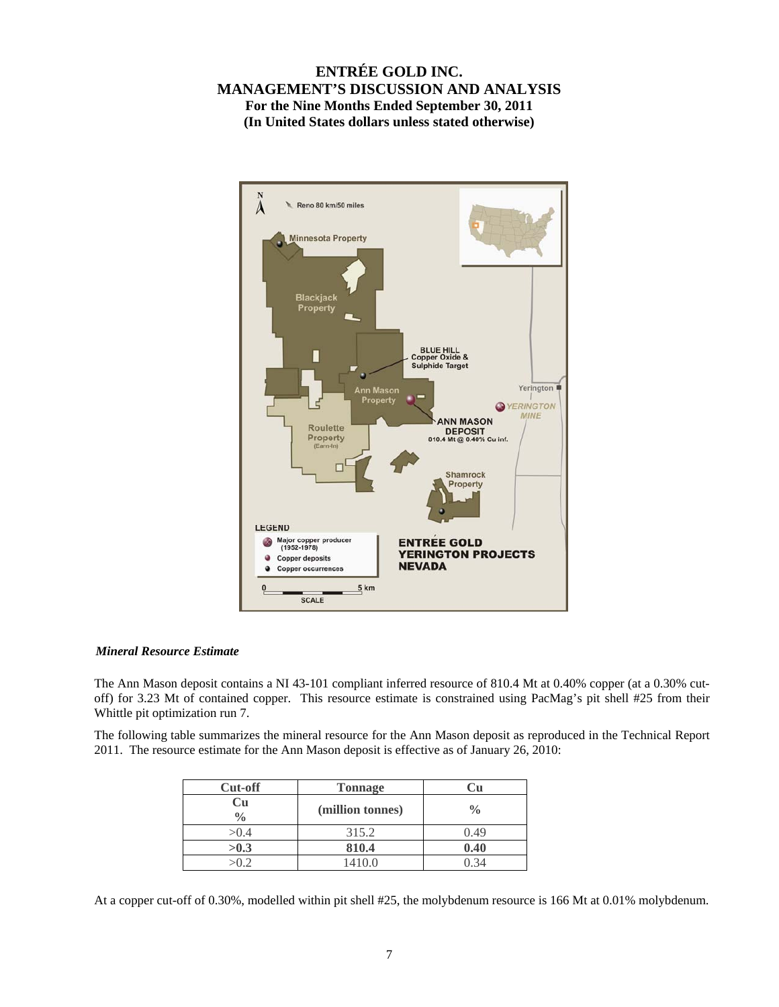

### *Mineral Resource Estimate*

The Ann Mason deposit contains a NI 43-101 compliant inferred resource of 810.4 Mt at 0.40% copper (at a 0.30% cutoff) for 3.23 Mt of contained copper. This resource estimate is constrained using PacMag's pit shell #25 from their Whittle pit optimization run 7.

The following table summarizes the mineral resource for the Ann Mason deposit as reproduced in the Technical Report 2011. The resource estimate for the Ann Mason deposit is effective as of January 26, 2010:

| Cut-off             | <b>Tonnage</b>   |               |
|---------------------|------------------|---------------|
| Cu<br>$\frac{0}{0}$ | (million tonnes) | $\frac{0}{0}$ |
| >0.4                | 315.2            | 0.49          |
| >0.3                | 810.4            | 0.40          |
|                     | 1410.0           |               |

At a copper cut-off of 0.30%, modelled within pit shell #25, the molybdenum resource is 166 Mt at 0.01% molybdenum.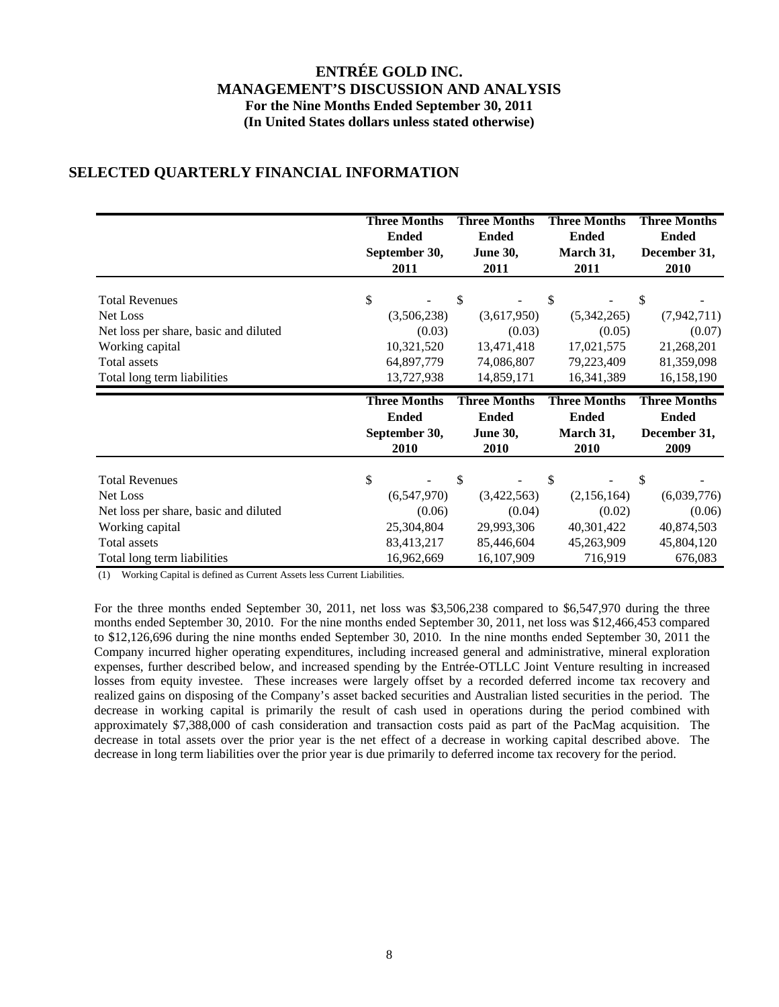## **SELECTED QUARTERLY FINANCIAL INFORMATION**

|                                                          | <b>Three Months</b><br><b>Ended</b><br>September 30,<br>2011 | <b>Three Months</b><br><b>Ended</b><br><b>June 30,</b><br>2011 | <b>Three Months</b><br><b>Ended</b><br>March 31,<br>2011 | <b>Three Months</b><br><b>Ended</b><br>December 31,<br>2010 |
|----------------------------------------------------------|--------------------------------------------------------------|----------------------------------------------------------------|----------------------------------------------------------|-------------------------------------------------------------|
| <b>Total Revenues</b>                                    | \$                                                           | \$                                                             | \$                                                       | \$                                                          |
| Net Loss                                                 | (3,506,238)                                                  | (3,617,950)                                                    | (5,342,265)                                              | (7,942,711)                                                 |
| Net loss per share, basic and diluted                    | (0.03)                                                       | (0.03)                                                         | (0.05)                                                   | (0.07)                                                      |
| Working capital                                          | 10,321,520                                                   | 13,471,418                                                     | 17,021,575                                               | 21,268,201                                                  |
| <b>Total assets</b>                                      | 64,897,779                                                   | 74,086,807                                                     | 79,223,409                                               | 81,359,098                                                  |
| Total long term liabilities                              | 13,727,938                                                   | 14,859,171                                                     | 16,341,389                                               | 16,158,190                                                  |
|                                                          |                                                              |                                                                |                                                          |                                                             |
|                                                          | <b>Three Months</b><br><b>Ended</b><br>September 30,<br>2010 | <b>Three Months</b><br><b>Ended</b><br><b>June 30,</b><br>2010 | <b>Three Months</b><br><b>Ended</b><br>March 31,<br>2010 | <b>Three Months</b><br><b>Ended</b><br>December 31,<br>2009 |
|                                                          |                                                              |                                                                |                                                          |                                                             |
| <b>Total Revenues</b><br>Net Loss                        | \$                                                           | \$                                                             | \$                                                       | \$                                                          |
|                                                          | (6,547,970)<br>(0.06)                                        | (3,422,563)<br>(0.04)                                          | (2,156,164)<br>(0.02)                                    | (6,039,776)<br>(0.06)                                       |
| Net loss per share, basic and diluted<br>Working capital | 25,304,804                                                   | 29,993,306                                                     | 40,301,422                                               | 40,874,503                                                  |
| Total assets                                             | 83,413,217                                                   | 85,446,604                                                     | 45,263,909                                               | 45,804,120                                                  |

(1) Working Capital is defined as Current Assets less Current Liabilities.

For the three months ended September 30, 2011, net loss was \$3,506,238 compared to \$6,547,970 during the three months ended September 30, 2010. For the nine months ended September 30, 2011, net loss was \$12,466,453 compared to \$12,126,696 during the nine months ended September 30, 2010. In the nine months ended September 30, 2011 the Company incurred higher operating expenditures, including increased general and administrative, mineral exploration expenses, further described below, and increased spending by the Entrée-OTLLC Joint Venture resulting in increased losses from equity investee. These increases were largely offset by a recorded deferred income tax recovery and realized gains on disposing of the Company's asset backed securities and Australian listed securities in the period. The decrease in working capital is primarily the result of cash used in operations during the period combined with approximately \$7,388,000 of cash consideration and transaction costs paid as part of the PacMag acquisition. The decrease in total assets over the prior year is the net effect of a decrease in working capital described above. The decrease in long term liabilities over the prior year is due primarily to deferred income tax recovery for the period.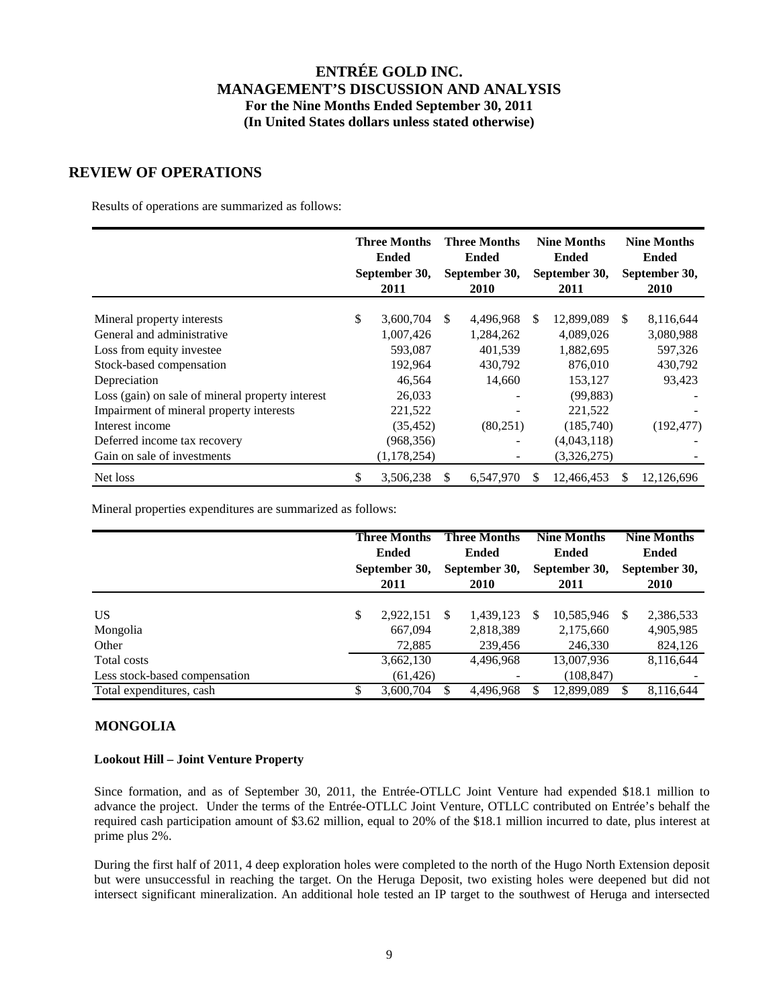### **REVIEW OF OPERATIONS**

Results of operations are summarized as follows:

|                                                  | <b>Three Months</b><br><b>Ended</b><br>September 30,<br>2011 |     | <b>Three Months</b><br><b>Ended</b><br>September 30,<br>2010 |    | <b>Nine Months</b><br><b>Ended</b><br>September 30,<br>2011 |     | <b>Nine Months</b><br><b>Ended</b><br>September 30,<br>2010 |
|--------------------------------------------------|--------------------------------------------------------------|-----|--------------------------------------------------------------|----|-------------------------------------------------------------|-----|-------------------------------------------------------------|
|                                                  |                                                              |     |                                                              |    |                                                             |     |                                                             |
| Mineral property interests                       | \$<br>3,600,704                                              | \$. | 4.496.968                                                    | S. | 12.899.089                                                  | \$. | 8,116,644                                                   |
| General and administrative                       | 1,007,426                                                    |     | 1,284,262                                                    |    | 4,089,026                                                   |     | 3,080,988                                                   |
| Loss from equity investee                        | 593,087                                                      |     | 401,539                                                      |    | 1,882,695                                                   |     | 597,326                                                     |
| Stock-based compensation                         | 192,964                                                      |     | 430,792                                                      |    | 876,010                                                     |     | 430,792                                                     |
| Depreciation                                     | 46,564                                                       |     | 14,660                                                       |    | 153,127                                                     |     | 93,423                                                      |
| Loss (gain) on sale of mineral property interest | 26,033                                                       |     |                                                              |    | (99, 883)                                                   |     |                                                             |
| Impairment of mineral property interests         | 221,522                                                      |     |                                                              |    | 221,522                                                     |     |                                                             |
| Interest income                                  | (35, 452)                                                    |     | (80,251)                                                     |    | (185,740)                                                   |     | (192, 477)                                                  |
| Deferred income tax recovery                     | (968, 356)                                                   |     |                                                              |    | (4,043,118)                                                 |     |                                                             |
| Gain on sale of investments                      | (1, 178, 254)                                                |     |                                                              |    | (3,326,275)                                                 |     |                                                             |
| Net loss                                         | \$<br>3,506,238                                              | S.  | 6,547,970                                                    | S  | 12,466,453                                                  |     | 12,126,696                                                  |

Mineral properties expenditures are summarized as follows:

|                                              | <b>Three Months</b><br><b>Ended</b><br>September 30,<br>2011 |     | <b>Three Months</b><br>Ended<br>September 30,<br><b>2010</b> | <b>Nine Months</b><br><b>Ended</b><br>September 30,<br>2011 |          | <b>Nine Months</b><br><b>Ended</b><br>September 30,<br><b>2010</b> |
|----------------------------------------------|--------------------------------------------------------------|-----|--------------------------------------------------------------|-------------------------------------------------------------|----------|--------------------------------------------------------------------|
| US<br>Mongolia<br>Other                      | \$<br>2,922,151<br>667,094<br>72,885                         | \$. | 1,439,123<br>2,818,389<br>239,456                            | \$<br>10,585,946<br>2,175,660<br>246,330                    | <b>S</b> | 2,386,533<br>4,905,985<br>824,126                                  |
| Total costs<br>Less stock-based compensation | 3,662,130<br>(61, 426)                                       |     | 4,496,968                                                    | 13,007,936<br>(108, 847)                                    |          | 8,116,644                                                          |
| Total expenditures, cash                     | \$<br>3,600,704                                              |     | 4,496,968                                                    | 12,899,089                                                  |          | 8,116,644                                                          |

### **MONGOLIA**

### **Lookout Hill – Joint Venture Property**

Since formation, and as of September 30, 2011, the Entrée-OTLLC Joint Venture had expended \$18.1 million to advance the project. Under the terms of the Entrée-OTLLC Joint Venture, OTLLC contributed on Entrée's behalf the required cash participation amount of \$3.62 million, equal to 20% of the \$18.1 million incurred to date, plus interest at prime plus 2%.

During the first half of 2011, 4 deep exploration holes were completed to the north of the Hugo North Extension deposit but were unsuccessful in reaching the target. On the Heruga Deposit, two existing holes were deepened but did not intersect significant mineralization. An additional hole tested an IP target to the southwest of Heruga and intersected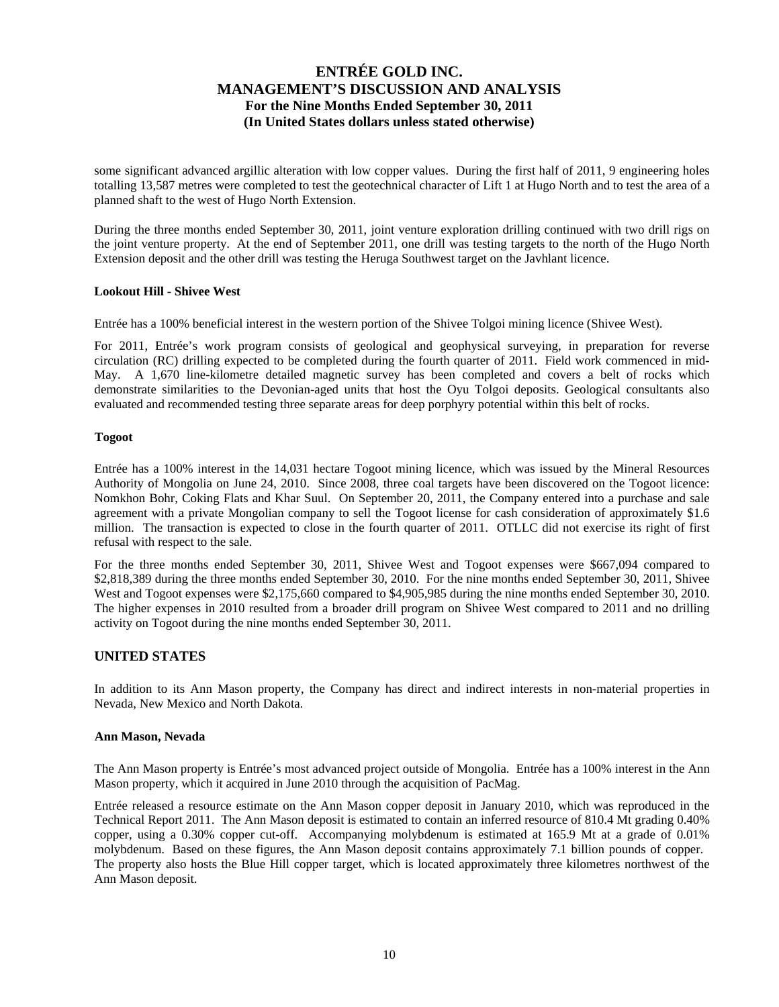some significant advanced argillic alteration with low copper values. During the first half of 2011, 9 engineering holes totalling 13,587 metres were completed to test the geotechnical character of Lift 1 at Hugo North and to test the area of a planned shaft to the west of Hugo North Extension.

During the three months ended September 30, 2011, joint venture exploration drilling continued with two drill rigs on the joint venture property. At the end of September 2011, one drill was testing targets to the north of the Hugo North Extension deposit and the other drill was testing the Heruga Southwest target on the Javhlant licence.

#### **Lookout Hill - Shivee West**

Entrée has a 100% beneficial interest in the western portion of the Shivee Tolgoi mining licence (Shivee West).

For 2011, Entrée's work program consists of geological and geophysical surveying, in preparation for reverse circulation (RC) drilling expected to be completed during the fourth quarter of 2011. Field work commenced in mid-May. A 1,670 line-kilometre detailed magnetic survey has been completed and covers a belt of rocks which demonstrate similarities to the Devonian-aged units that host the Oyu Tolgoi deposits. Geological consultants also evaluated and recommended testing three separate areas for deep porphyry potential within this belt of rocks.

### **Togoot**

Entrée has a 100% interest in the 14,031 hectare Togoot mining licence, which was issued by the Mineral Resources Authority of Mongolia on June 24, 2010. Since 2008, three coal targets have been discovered on the Togoot licence: Nomkhon Bohr, Coking Flats and Khar Suul. On September 20, 2011, the Company entered into a purchase and sale agreement with a private Mongolian company to sell the Togoot license for cash consideration of approximately \$1.6 million. The transaction is expected to close in the fourth quarter of 2011. OTLLC did not exercise its right of first refusal with respect to the sale.

For the three months ended September 30, 2011, Shivee West and Togoot expenses were \$667,094 compared to \$2,818,389 during the three months ended September 30, 2010. For the nine months ended September 30, 2011, Shivee West and Togoot expenses were \$2,175,660 compared to \$4,905,985 during the nine months ended September 30, 2010. The higher expenses in 2010 resulted from a broader drill program on Shivee West compared to 2011 and no drilling activity on Togoot during the nine months ended September 30, 2011.

### **UNITED STATES**

In addition to its Ann Mason property, the Company has direct and indirect interests in non-material properties in Nevada, New Mexico and North Dakota.

#### **Ann Mason, Nevada**

The Ann Mason property is Entrée's most advanced project outside of Mongolia. Entrée has a 100% interest in the Ann Mason property, which it acquired in June 2010 through the acquisition of PacMag.

Entrée released a resource estimate on the Ann Mason copper deposit in January 2010, which was reproduced in the Technical Report 2011. The Ann Mason deposit is estimated to contain an inferred resource of 810.4 Mt grading 0.40% copper, using a 0.30% copper cut-off. Accompanying molybdenum is estimated at 165.9 Mt at a grade of 0.01% molybdenum. Based on these figures, the Ann Mason deposit contains approximately 7.1 billion pounds of copper. The property also hosts the Blue Hill copper target, which is located approximately three kilometres northwest of the Ann Mason deposit.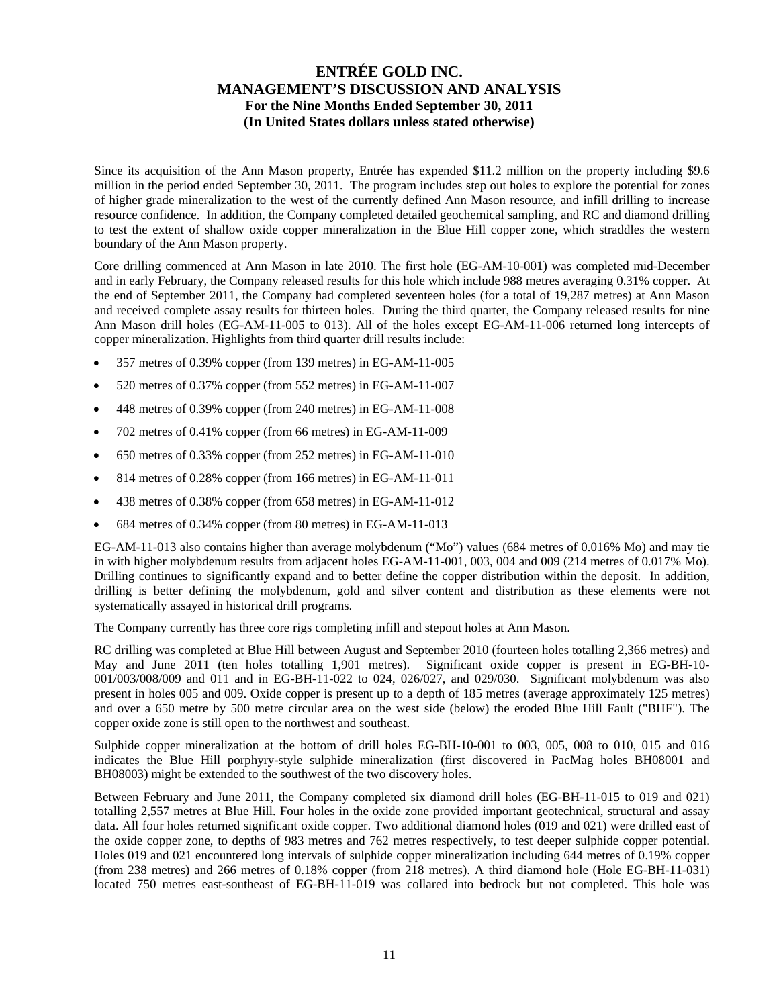Since its acquisition of the Ann Mason property, Entrée has expended \$11.2 million on the property including \$9.6 million in the period ended September 30, 2011. The program includes step out holes to explore the potential for zones of higher grade mineralization to the west of the currently defined Ann Mason resource, and infill drilling to increase resource confidence. In addition, the Company completed detailed geochemical sampling, and RC and diamond drilling to test the extent of shallow oxide copper mineralization in the Blue Hill copper zone, which straddles the western boundary of the Ann Mason property.

Core drilling commenced at Ann Mason in late 2010. The first hole (EG-AM-10-001) was completed mid-December and in early February, the Company released results for this hole which include 988 metres averaging 0.31% copper. At the end of September 2011, the Company had completed seventeen holes (for a total of 19,287 metres) at Ann Mason and received complete assay results for thirteen holes. During the third quarter, the Company released results for nine Ann Mason drill holes (EG-AM-11-005 to 013). All of the holes except EG-AM-11-006 returned long intercepts of copper mineralization. Highlights from third quarter drill results include:

- 357 metres of 0.39% copper (from 139 metres) in EG-AM-11-005
- 520 metres of 0.37% copper (from 552 metres) in EG-AM-11-007
- 448 metres of 0.39% copper (from 240 metres) in EG-AM-11-008
- 702 metres of 0.41% copper (from 66 metres) in EG-AM-11-009
- 650 metres of 0.33% copper (from 252 metres) in EG-AM-11-010
- $\bullet$  814 metres of 0.28% copper (from 166 metres) in EG-AM-11-011
- 438 metres of 0.38% copper (from 658 metres) in EG-AM-11-012
- 684 metres of 0.34% copper (from 80 metres) in EG-AM-11-013

EG-AM-11-013 also contains higher than average molybdenum ("Mo") values (684 metres of 0.016% Mo) and may tie in with higher molybdenum results from adjacent holes EG-AM-11-001, 003, 004 and 009 (214 metres of 0.017% Mo). Drilling continues to significantly expand and to better define the copper distribution within the deposit. In addition, drilling is better defining the molybdenum, gold and silver content and distribution as these elements were not systematically assayed in historical drill programs.

The Company currently has three core rigs completing infill and stepout holes at Ann Mason.

RC drilling was completed at Blue Hill between August and September 2010 (fourteen holes totalling 2,366 metres) and May and June 2011 (ten holes totalling 1,901 metres). Significant oxide copper is present in EG-BH-10- 001/003/008/009 and 011 and in EG-BH-11-022 to 024, 026/027, and 029/030. Significant molybdenum was also present in holes 005 and 009. Oxide copper is present up to a depth of 185 metres (average approximately 125 metres) and over a 650 metre by 500 metre circular area on the west side (below) the eroded Blue Hill Fault ("BHF"). The copper oxide zone is still open to the northwest and southeast.

Sulphide copper mineralization at the bottom of drill holes EG-BH-10-001 to 003, 005, 008 to 010, 015 and 016 indicates the Blue Hill porphyry-style sulphide mineralization (first discovered in PacMag holes BH08001 and BH08003) might be extended to the southwest of the two discovery holes.

Between February and June 2011, the Company completed six diamond drill holes (EG-BH-11-015 to 019 and 021) totalling 2,557 metres at Blue Hill. Four holes in the oxide zone provided important geotechnical, structural and assay data. All four holes returned significant oxide copper. Two additional diamond holes (019 and 021) were drilled east of the oxide copper zone, to depths of 983 metres and 762 metres respectively, to test deeper sulphide copper potential. Holes 019 and 021 encountered long intervals of sulphide copper mineralization including 644 metres of 0.19% copper (from 238 metres) and 266 metres of 0.18% copper (from 218 metres). A third diamond hole (Hole EG-BH-11-031) located 750 metres east-southeast of EG-BH-11-019 was collared into bedrock but not completed. This hole was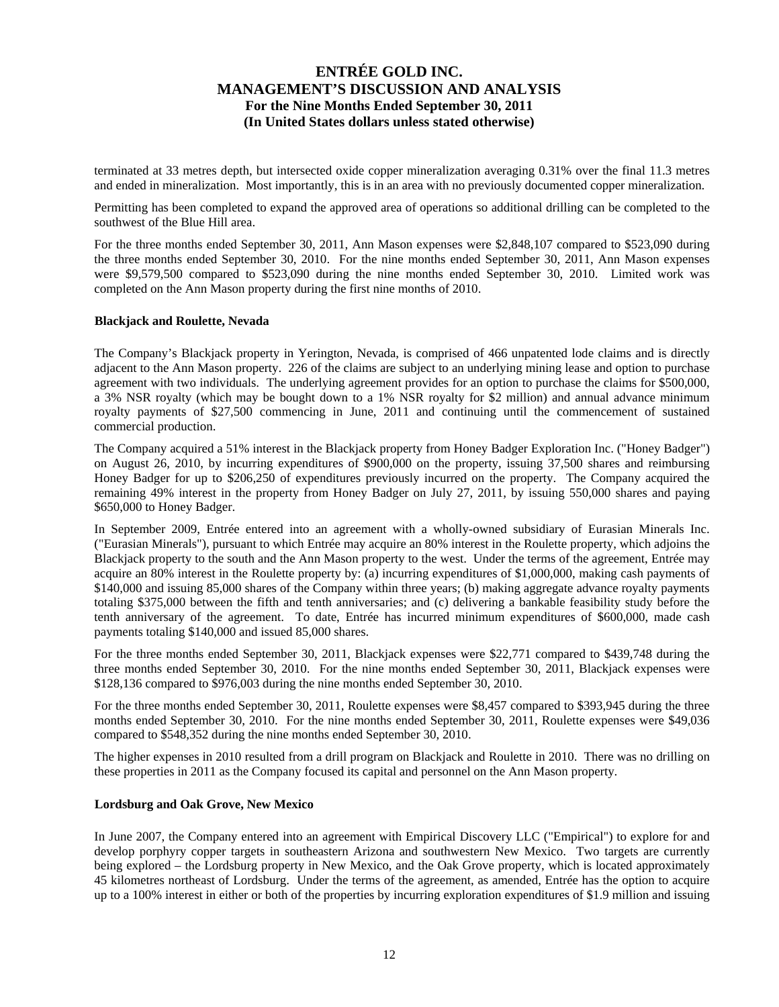terminated at 33 metres depth, but intersected oxide copper mineralization averaging 0.31% over the final 11.3 metres and ended in mineralization. Most importantly, this is in an area with no previously documented copper mineralization.

Permitting has been completed to expand the approved area of operations so additional drilling can be completed to the southwest of the Blue Hill area.

For the three months ended September 30, 2011, Ann Mason expenses were \$2,848,107 compared to \$523,090 during the three months ended September 30, 2010. For the nine months ended September 30, 2011, Ann Mason expenses were \$9,579,500 compared to \$523,090 during the nine months ended September 30, 2010. Limited work was completed on the Ann Mason property during the first nine months of 2010.

#### **Blackjack and Roulette, Nevada**

The Company's Blackjack property in Yerington, Nevada, is comprised of 466 unpatented lode claims and is directly adjacent to the Ann Mason property. 226 of the claims are subject to an underlying mining lease and option to purchase agreement with two individuals. The underlying agreement provides for an option to purchase the claims for \$500,000, a 3% NSR royalty (which may be bought down to a 1% NSR royalty for \$2 million) and annual advance minimum royalty payments of \$27,500 commencing in June, 2011 and continuing until the commencement of sustained commercial production.

The Company acquired a 51% interest in the Blackjack property from Honey Badger Exploration Inc. ("Honey Badger") on August 26, 2010, by incurring expenditures of \$900,000 on the property, issuing 37,500 shares and reimbursing Honey Badger for up to \$206,250 of expenditures previously incurred on the property. The Company acquired the remaining 49% interest in the property from Honey Badger on July 27, 2011, by issuing 550,000 shares and paying \$650,000 to Honey Badger.

In September 2009, Entrée entered into an agreement with a wholly-owned subsidiary of Eurasian Minerals Inc. ("Eurasian Minerals"), pursuant to which Entrée may acquire an 80% interest in the Roulette property, which adjoins the Blackjack property to the south and the Ann Mason property to the west. Under the terms of the agreement, Entrée may acquire an 80% interest in the Roulette property by: (a) incurring expenditures of \$1,000,000, making cash payments of \$140,000 and issuing 85,000 shares of the Company within three years; (b) making aggregate advance royalty payments totaling \$375,000 between the fifth and tenth anniversaries; and (c) delivering a bankable feasibility study before the tenth anniversary of the agreement. To date, Entrée has incurred minimum expenditures of \$600,000, made cash payments totaling \$140,000 and issued 85,000 shares.

For the three months ended September 30, 2011, Blackjack expenses were \$22,771 compared to \$439,748 during the three months ended September 30, 2010. For the nine months ended September 30, 2011, Blackjack expenses were \$128,136 compared to \$976,003 during the nine months ended September 30, 2010.

For the three months ended September 30, 2011, Roulette expenses were \$8,457 compared to \$393,945 during the three months ended September 30, 2010. For the nine months ended September 30, 2011, Roulette expenses were \$49,036 compared to \$548,352 during the nine months ended September 30, 2010.

The higher expenses in 2010 resulted from a drill program on Blackjack and Roulette in 2010. There was no drilling on these properties in 2011 as the Company focused its capital and personnel on the Ann Mason property.

#### **Lordsburg and Oak Grove, New Mexico**

In June 2007, the Company entered into an agreement with Empirical Discovery LLC ("Empirical") to explore for and develop porphyry copper targets in southeastern Arizona and southwestern New Mexico. Two targets are currently being explored – the Lordsburg property in New Mexico, and the Oak Grove property, which is located approximately 45 kilometres northeast of Lordsburg. Under the terms of the agreement, as amended, Entrée has the option to acquire up to a 100% interest in either or both of the properties by incurring exploration expenditures of \$1.9 million and issuing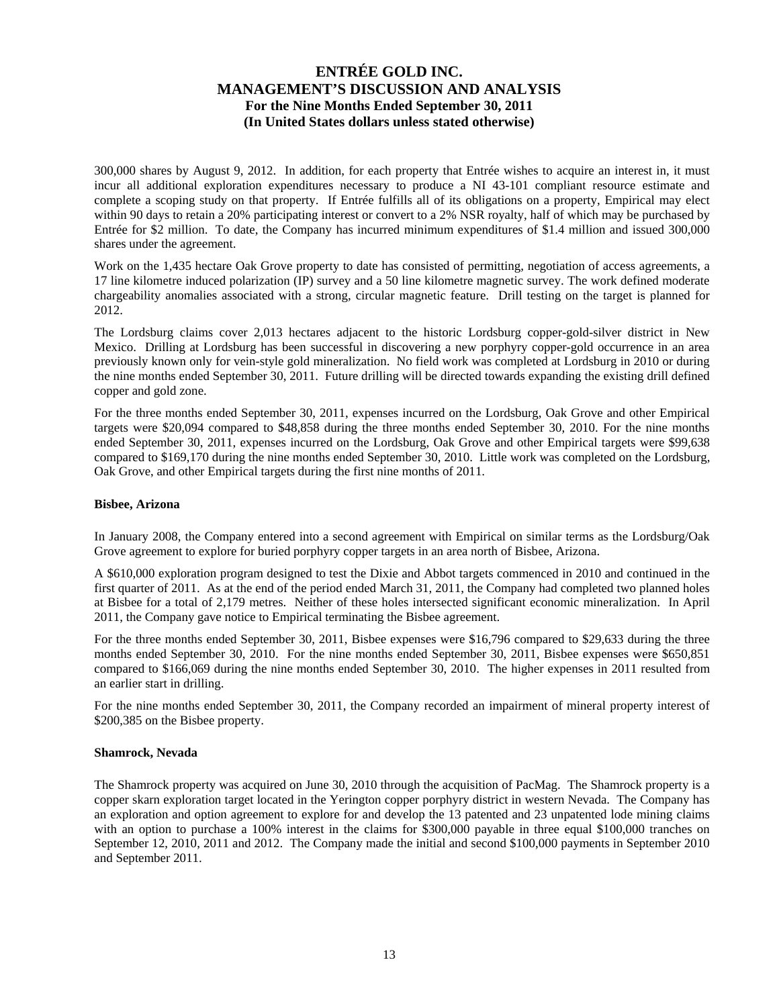300,000 shares by August 9, 2012. In addition, for each property that Entrée wishes to acquire an interest in, it must incur all additional exploration expenditures necessary to produce a NI 43-101 compliant resource estimate and complete a scoping study on that property. If Entrée fulfills all of its obligations on a property, Empirical may elect within 90 days to retain a 20% participating interest or convert to a 2% NSR royalty, half of which may be purchased by Entrée for \$2 million. To date, the Company has incurred minimum expenditures of \$1.4 million and issued 300,000 shares under the agreement.

Work on the 1,435 hectare Oak Grove property to date has consisted of permitting, negotiation of access agreements, a 17 line kilometre induced polarization (IP) survey and a 50 line kilometre magnetic survey. The work defined moderate chargeability anomalies associated with a strong, circular magnetic feature. Drill testing on the target is planned for 2012.

The Lordsburg claims cover 2,013 hectares adjacent to the historic Lordsburg copper-gold-silver district in New Mexico. Drilling at Lordsburg has been successful in discovering a new porphyry copper-gold occurrence in an area previously known only for vein-style gold mineralization. No field work was completed at Lordsburg in 2010 or during the nine months ended September 30, 2011. Future drilling will be directed towards expanding the existing drill defined copper and gold zone.

For the three months ended September 30, 2011, expenses incurred on the Lordsburg, Oak Grove and other Empirical targets were \$20,094 compared to \$48,858 during the three months ended September 30, 2010. For the nine months ended September 30, 2011, expenses incurred on the Lordsburg, Oak Grove and other Empirical targets were \$99,638 compared to \$169,170 during the nine months ended September 30, 2010. Little work was completed on the Lordsburg, Oak Grove, and other Empirical targets during the first nine months of 2011.

### **Bisbee, Arizona**

In January 2008, the Company entered into a second agreement with Empirical on similar terms as the Lordsburg/Oak Grove agreement to explore for buried porphyry copper targets in an area north of Bisbee, Arizona.

A \$610,000 exploration program designed to test the Dixie and Abbot targets commenced in 2010 and continued in the first quarter of 2011. As at the end of the period ended March 31, 2011, the Company had completed two planned holes at Bisbee for a total of 2,179 metres. Neither of these holes intersected significant economic mineralization. In April 2011, the Company gave notice to Empirical terminating the Bisbee agreement.

For the three months ended September 30, 2011, Bisbee expenses were \$16,796 compared to \$29,633 during the three months ended September 30, 2010. For the nine months ended September 30, 2011, Bisbee expenses were \$650,851 compared to \$166,069 during the nine months ended September 30, 2010. The higher expenses in 2011 resulted from an earlier start in drilling.

For the nine months ended September 30, 2011, the Company recorded an impairment of mineral property interest of \$200,385 on the Bisbee property.

#### **Shamrock, Nevada**

The Shamrock property was acquired on June 30, 2010 through the acquisition of PacMag. The Shamrock property is a copper skarn exploration target located in the Yerington copper porphyry district in western Nevada. The Company has an exploration and option agreement to explore for and develop the 13 patented and 23 unpatented lode mining claims with an option to purchase a 100% interest in the claims for \$300,000 payable in three equal \$100,000 tranches on September 12, 2010, 2011 and 2012. The Company made the initial and second \$100,000 payments in September 2010 and September 2011.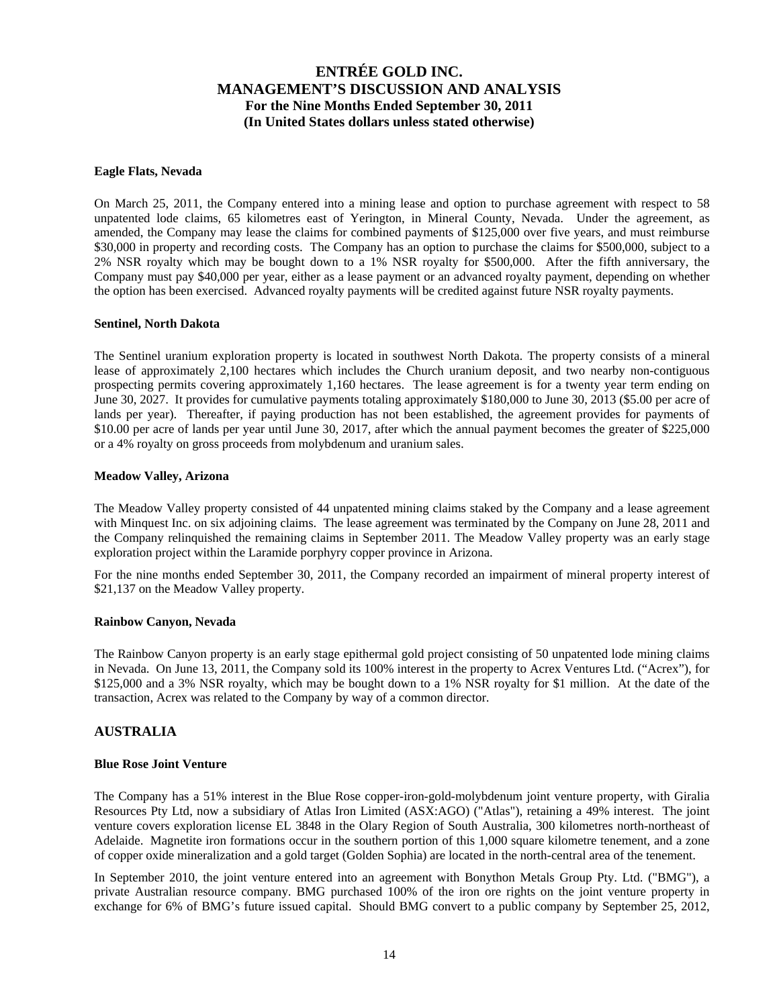#### **Eagle Flats, Nevada**

On March 25, 2011, the Company entered into a mining lease and option to purchase agreement with respect to 58 unpatented lode claims, 65 kilometres east of Yerington, in Mineral County, Nevada. Under the agreement, as amended, the Company may lease the claims for combined payments of \$125,000 over five years, and must reimburse \$30,000 in property and recording costs. The Company has an option to purchase the claims for \$500,000, subject to a 2% NSR royalty which may be bought down to a 1% NSR royalty for \$500,000. After the fifth anniversary, the Company must pay \$40,000 per year, either as a lease payment or an advanced royalty payment, depending on whether the option has been exercised. Advanced royalty payments will be credited against future NSR royalty payments.

#### **Sentinel, North Dakota**

The Sentinel uranium exploration property is located in southwest North Dakota. The property consists of a mineral lease of approximately 2,100 hectares which includes the Church uranium deposit, and two nearby non-contiguous prospecting permits covering approximately 1,160 hectares. The lease agreement is for a twenty year term ending on June 30, 2027. It provides for cumulative payments totaling approximately \$180,000 to June 30, 2013 (\$5.00 per acre of lands per year). Thereafter, if paying production has not been established, the agreement provides for payments of \$10.00 per acre of lands per year until June 30, 2017, after which the annual payment becomes the greater of \$225,000 or a 4% royalty on gross proceeds from molybdenum and uranium sales.

#### **Meadow Valley, Arizona**

The Meadow Valley property consisted of 44 unpatented mining claims staked by the Company and a lease agreement with Minquest Inc. on six adjoining claims. The lease agreement was terminated by the Company on June 28, 2011 and the Company relinquished the remaining claims in September 2011. The Meadow Valley property was an early stage exploration project within the Laramide porphyry copper province in Arizona.

For the nine months ended September 30, 2011, the Company recorded an impairment of mineral property interest of \$21,137 on the Meadow Valley property.

#### **Rainbow Canyon, Nevada**

The Rainbow Canyon property is an early stage epithermal gold project consisting of 50 unpatented lode mining claims in Nevada. On June 13, 2011, the Company sold its 100% interest in the property to Acrex Ventures Ltd. ("Acrex"), for \$125,000 and a 3% NSR royalty, which may be bought down to a 1% NSR royalty for \$1 million. At the date of the transaction, Acrex was related to the Company by way of a common director.

### **AUSTRALIA**

#### **Blue Rose Joint Venture**

The Company has a 51% interest in the Blue Rose copper-iron-gold-molybdenum joint venture property, with Giralia Resources Pty Ltd, now a subsidiary of Atlas Iron Limited (ASX:AGO) ("Atlas"), retaining a 49% interest. The joint venture covers exploration license EL 3848 in the Olary Region of South Australia, 300 kilometres north-northeast of Adelaide. Magnetite iron formations occur in the southern portion of this 1,000 square kilometre tenement, and a zone of copper oxide mineralization and a gold target (Golden Sophia) are located in the north-central area of the tenement.

In September 2010, the joint venture entered into an agreement with Bonython Metals Group Pty. Ltd. ("BMG"), a private Australian resource company. BMG purchased 100% of the iron ore rights on the joint venture property in exchange for 6% of BMG's future issued capital. Should BMG convert to a public company by September 25, 2012,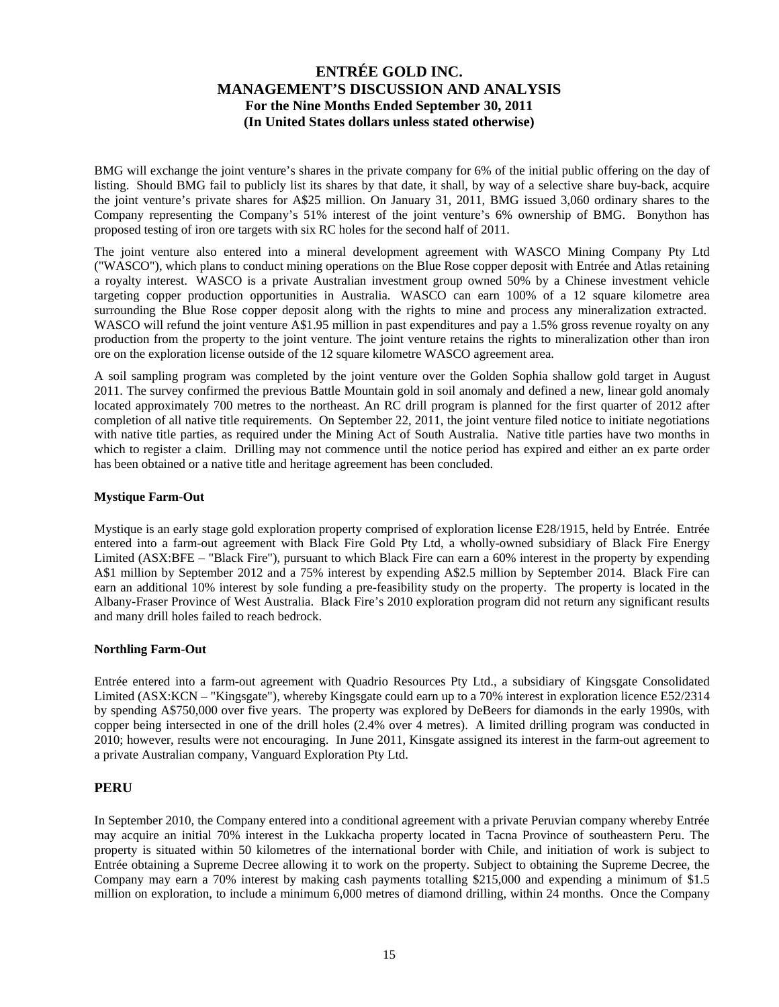BMG will exchange the joint venture's shares in the private company for 6% of the initial public offering on the day of listing. Should BMG fail to publicly list its shares by that date, it shall, by way of a selective share buy-back, acquire the joint venture's private shares for A\$25 million. On January 31, 2011, BMG issued 3,060 ordinary shares to the Company representing the Company's 51% interest of the joint venture's 6% ownership of BMG. Bonython has proposed testing of iron ore targets with six RC holes for the second half of 2011.

The joint venture also entered into a mineral development agreement with WASCO Mining Company Pty Ltd ("WASCO"), which plans to conduct mining operations on the Blue Rose copper deposit with Entrée and Atlas retaining a royalty interest. WASCO is a private Australian investment group owned 50% by a Chinese investment vehicle targeting copper production opportunities in Australia. WASCO can earn 100% of a 12 square kilometre area surrounding the Blue Rose copper deposit along with the rights to mine and process any mineralization extracted. WASCO will refund the joint venture A\$1.95 million in past expenditures and pay a 1.5% gross revenue royalty on any production from the property to the joint venture. The joint venture retains the rights to mineralization other than iron ore on the exploration license outside of the 12 square kilometre WASCO agreement area.

A soil sampling program was completed by the joint venture over the Golden Sophia shallow gold target in August 2011. The survey confirmed the previous Battle Mountain gold in soil anomaly and defined a new, linear gold anomaly located approximately 700 metres to the northeast. An RC drill program is planned for the first quarter of 2012 after completion of all native title requirements. On September 22, 2011, the joint venture filed notice to initiate negotiations with native title parties, as required under the Mining Act of South Australia. Native title parties have two months in which to register a claim. Drilling may not commence until the notice period has expired and either an ex parte order has been obtained or a native title and heritage agreement has been concluded.

### **Mystique Farm-Out**

Mystique is an early stage gold exploration property comprised of exploration license E28/1915, held by Entrée. Entrée entered into a farm-out agreement with Black Fire Gold Pty Ltd, a wholly-owned subsidiary of Black Fire Energy Limited (ASX:BFE – "Black Fire"), pursuant to which Black Fire can earn a 60% interest in the property by expending A\$1 million by September 2012 and a 75% interest by expending A\$2.5 million by September 2014. Black Fire can earn an additional 10% interest by sole funding a pre-feasibility study on the property. The property is located in the Albany-Fraser Province of West Australia. Black Fire's 2010 exploration program did not return any significant results and many drill holes failed to reach bedrock.

### **Northling Farm-Out**

Entrée entered into a farm-out agreement with Quadrio Resources Pty Ltd., a subsidiary of Kingsgate Consolidated Limited (ASX:KCN – "Kingsgate"), whereby Kingsgate could earn up to a 70% interest in exploration licence E52/2314 by spending A\$750,000 over five years. The property was explored by DeBeers for diamonds in the early 1990s, with copper being intersected in one of the drill holes (2.4% over 4 metres). A limited drilling program was conducted in 2010; however, results were not encouraging. In June 2011, Kinsgate assigned its interest in the farm-out agreement to a private Australian company, Vanguard Exploration Pty Ltd.

### **PERU**

In September 2010, the Company entered into a conditional agreement with a private Peruvian company whereby Entrée may acquire an initial 70% interest in the Lukkacha property located in Tacna Province of southeastern Peru. The property is situated within 50 kilometres of the international border with Chile, and initiation of work is subject to Entrée obtaining a Supreme Decree allowing it to work on the property. Subject to obtaining the Supreme Decree, the Company may earn a 70% interest by making cash payments totalling \$215,000 and expending a minimum of \$1.5 million on exploration, to include a minimum 6,000 metres of diamond drilling, within 24 months. Once the Company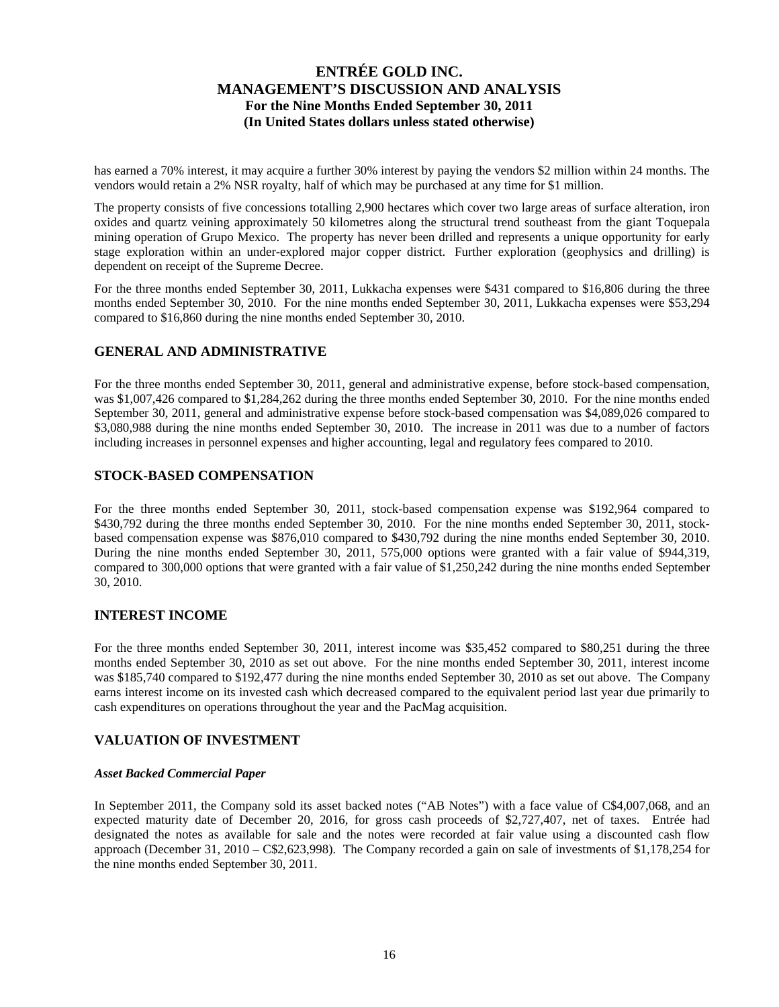has earned a 70% interest, it may acquire a further 30% interest by paying the vendors \$2 million within 24 months. The vendors would retain a 2% NSR royalty, half of which may be purchased at any time for \$1 million.

The property consists of five concessions totalling 2,900 hectares which cover two large areas of surface alteration, iron oxides and quartz veining approximately 50 kilometres along the structural trend southeast from the giant Toquepala mining operation of Grupo Mexico. The property has never been drilled and represents a unique opportunity for early stage exploration within an under-explored major copper district. Further exploration (geophysics and drilling) is dependent on receipt of the Supreme Decree.

For the three months ended September 30, 2011, Lukkacha expenses were \$431 compared to \$16,806 during the three months ended September 30, 2010. For the nine months ended September 30, 2011, Lukkacha expenses were \$53,294 compared to \$16,860 during the nine months ended September 30, 2010.

### **GENERAL AND ADMINISTRATIVE**

For the three months ended September 30, 2011, general and administrative expense, before stock-based compensation, was \$1,007,426 compared to \$1,284,262 during the three months ended September 30, 2010. For the nine months ended September 30, 2011, general and administrative expense before stock-based compensation was \$4,089,026 compared to \$3,080,988 during the nine months ended September 30, 2010. The increase in 2011 was due to a number of factors including increases in personnel expenses and higher accounting, legal and regulatory fees compared to 2010.

### **STOCK-BASED COMPENSATION**

For the three months ended September 30, 2011, stock-based compensation expense was \$192,964 compared to \$430,792 during the three months ended September 30, 2010. For the nine months ended September 30, 2011, stockbased compensation expense was \$876,010 compared to \$430,792 during the nine months ended September 30, 2010. During the nine months ended September 30, 2011, 575,000 options were granted with a fair value of \$944,319, compared to 300,000 options that were granted with a fair value of \$1,250,242 during the nine months ended September 30, 2010.

### **INTEREST INCOME**

For the three months ended September 30, 2011, interest income was \$35,452 compared to \$80,251 during the three months ended September 30, 2010 as set out above. For the nine months ended September 30, 2011, interest income was \$185,740 compared to \$192,477 during the nine months ended September 30, 2010 as set out above. The Company earns interest income on its invested cash which decreased compared to the equivalent period last year due primarily to cash expenditures on operations throughout the year and the PacMag acquisition.

### **VALUATION OF INVESTMENT**

### *Asset Backed Commercial Paper*

In September 2011, the Company sold its asset backed notes ("AB Notes") with a face value of C\$4,007,068, and an expected maturity date of December 20, 2016, for gross cash proceeds of \$2,727,407, net of taxes. Entrée had designated the notes as available for sale and the notes were recorded at fair value using a discounted cash flow approach (December 31, 2010 – C\$2,623,998). The Company recorded a gain on sale of investments of \$1,178,254 for the nine months ended September 30, 2011.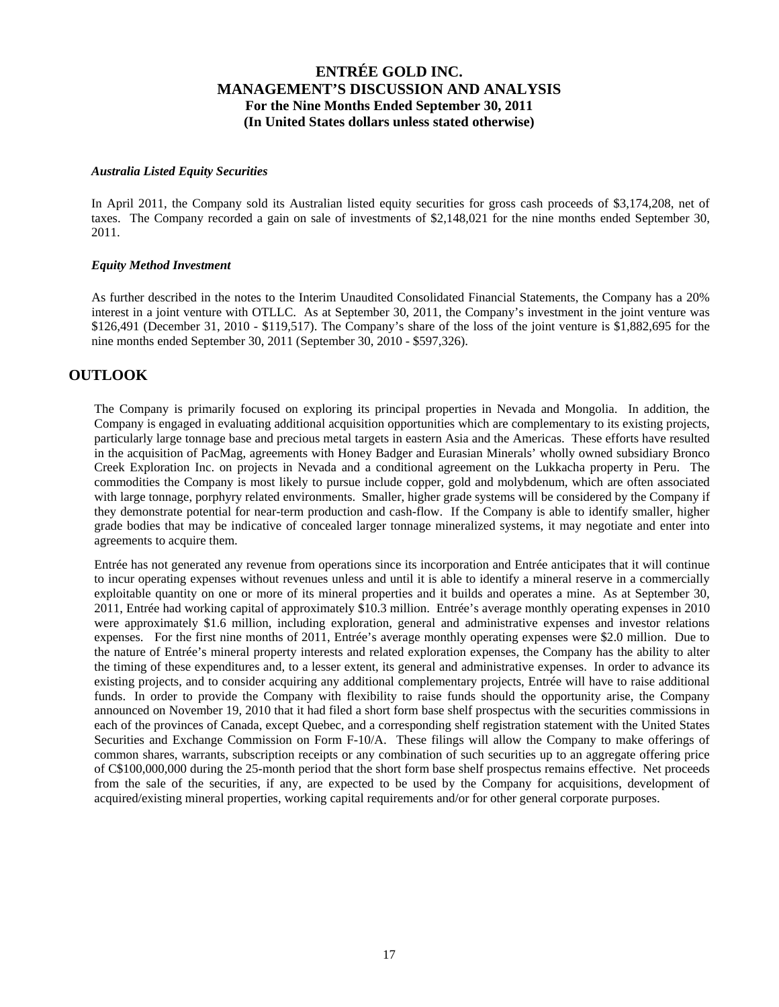#### *Australia Listed Equity Securities*

In April 2011, the Company sold its Australian listed equity securities for gross cash proceeds of \$3,174,208, net of taxes. The Company recorded a gain on sale of investments of \$2,148,021 for the nine months ended September 30, 2011.

#### *Equity Method Investment*

As further described in the notes to the Interim Unaudited Consolidated Financial Statements, the Company has a 20% interest in a joint venture with OTLLC. As at September 30, 2011, the Company's investment in the joint venture was \$126,491 (December 31, 2010 - \$119,517). The Company's share of the loss of the joint venture is \$1,882,695 for the nine months ended September 30, 2011 (September 30, 2010 - \$597,326).

### **OUTLOOK**

The Company is primarily focused on exploring its principal properties in Nevada and Mongolia. In addition, the Company is engaged in evaluating additional acquisition opportunities which are complementary to its existing projects, particularly large tonnage base and precious metal targets in eastern Asia and the Americas. These efforts have resulted in the acquisition of PacMag, agreements with Honey Badger and Eurasian Minerals' wholly owned subsidiary Bronco Creek Exploration Inc. on projects in Nevada and a conditional agreement on the Lukkacha property in Peru. The commodities the Company is most likely to pursue include copper, gold and molybdenum, which are often associated with large tonnage, porphyry related environments. Smaller, higher grade systems will be considered by the Company if they demonstrate potential for near-term production and cash-flow. If the Company is able to identify smaller, higher grade bodies that may be indicative of concealed larger tonnage mineralized systems, it may negotiate and enter into agreements to acquire them.

Entrée has not generated any revenue from operations since its incorporation and Entrée anticipates that it will continue to incur operating expenses without revenues unless and until it is able to identify a mineral reserve in a commercially exploitable quantity on one or more of its mineral properties and it builds and operates a mine. As at September 30, 2011, Entrée had working capital of approximately \$10.3 million. Entrée's average monthly operating expenses in 2010 were approximately \$1.6 million, including exploration, general and administrative expenses and investor relations expenses. For the first nine months of 2011, Entrée's average monthly operating expenses were \$2.0 million. Due to the nature of Entrée's mineral property interests and related exploration expenses, the Company has the ability to alter the timing of these expenditures and, to a lesser extent, its general and administrative expenses. In order to advance its existing projects, and to consider acquiring any additional complementary projects, Entrée will have to raise additional funds. In order to provide the Company with flexibility to raise funds should the opportunity arise, the Company announced on November 19, 2010 that it had filed a short form base shelf prospectus with the securities commissions in each of the provinces of Canada, except Quebec, and a corresponding shelf registration statement with the United States Securities and Exchange Commission on Form F-10/A. These filings will allow the Company to make offerings of common shares, warrants, subscription receipts or any combination of such securities up to an aggregate offering price of C\$100,000,000 during the 25-month period that the short form base shelf prospectus remains effective. Net proceeds from the sale of the securities, if any, are expected to be used by the Company for acquisitions, development of acquired/existing mineral properties, working capital requirements and/or for other general corporate purposes.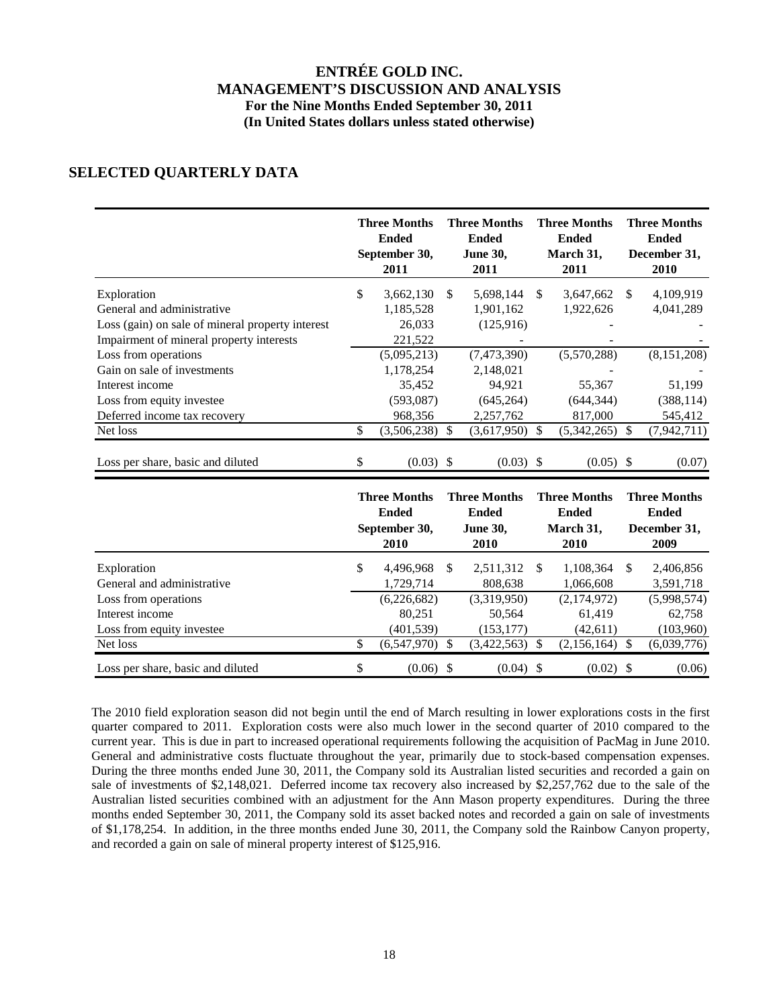# **SELECTED QUARTERLY DATA**

|                                                                                                                   |          | <b>Three Months</b><br><b>Ended</b><br>September 30,<br>2011  |                                 | <b>Three Months</b><br><b>Ended</b><br><b>June 30,</b><br>2011 | <b>Three Months</b><br><b>Ended</b><br>March 31,<br>2011           | <b>Three Months</b><br><b>Ended</b><br>December 31,<br>2010        |
|-------------------------------------------------------------------------------------------------------------------|----------|---------------------------------------------------------------|---------------------------------|----------------------------------------------------------------|--------------------------------------------------------------------|--------------------------------------------------------------------|
| Exploration<br>General and administrative<br>Loss (gain) on sale of mineral property interest                     | \$       | 3,662,130<br>1,185,528<br>26,033                              | \$                              | 5,698,144<br>1,901,162<br>(125,916)                            | \$<br>3,647,662<br>1,922,626                                       | \$<br>4,109,919<br>4,041,289                                       |
| Impairment of mineral property interests<br>Loss from operations<br>Gain on sale of investments                   |          | 221,522<br>(5,095,213)<br>1,178,254                           |                                 | (7, 473, 390)<br>2,148,021                                     | (5,570,288)                                                        | (8, 151, 208)                                                      |
| Interest income<br>Loss from equity investee<br>Deferred income tax recovery                                      |          | 35,452<br>(593,087)<br>968,356                                |                                 | 94,921<br>(645, 264)<br>2,257,762                              | 55,367<br>(644, 344)<br>817,000                                    | 51,199<br>(388, 114)<br>545,412                                    |
| Net loss<br>Loss per share, basic and diluted                                                                     | \$<br>\$ | (3,506,238)<br>(0.03)                                         | \$<br>$\boldsymbol{\mathsf{S}}$ | (3,617,950)<br>$(0.03)$ \$                                     | \$<br>(5,342,265)<br>$(0.05)$ \$                                   | \$<br>(7,942,711)<br>(0.07)                                        |
|                                                                                                                   |          | <b>Three Months</b><br><b>Ended</b><br>September 30,<br>2010  |                                 | <b>Three Months</b><br><b>Ended</b><br><b>June 30,</b><br>2010 | <b>Three Months</b><br><b>Ended</b><br>March 31,<br>2010           | <b>Three Months</b><br><b>Ended</b><br>December 31,<br>2009        |
| Exploration<br>General and administrative<br>Loss from operations<br>Interest income<br>Loss from equity investee | \$       | 4,496,968<br>1,729,714<br>(6,226,682)<br>80,251<br>(401, 539) | \$.                             | 2,511,312<br>808,638<br>(3,319,950)<br>50,564<br>(153, 177)    | \$<br>1,108,364<br>1.066.608<br>(2,174,972)<br>61,419<br>(42, 611) | \$<br>2,406,856<br>3,591,718<br>(5,998,574)<br>62,758<br>(103,960) |
| Net loss<br>Loss per share, basic and diluted                                                                     | \$<br>\$ | (6,547,970)<br>$(0.06)$ \$                                    | \$                              | (3,422,563)<br>$(0.04)$ \$                                     | \$<br>(2,156,164)<br>$(0.02)$ \$                                   | \$<br>(6,039,776)<br>(0.06)                                        |

The 2010 field exploration season did not begin until the end of March resulting in lower explorations costs in the first quarter compared to 2011. Exploration costs were also much lower in the second quarter of 2010 compared to the current year. This is due in part to increased operational requirements following the acquisition of PacMag in June 2010. General and administrative costs fluctuate throughout the year, primarily due to stock-based compensation expenses. During the three months ended June 30, 2011, the Company sold its Australian listed securities and recorded a gain on sale of investments of \$2,148,021. Deferred income tax recovery also increased by \$2,257,762 due to the sale of the Australian listed securities combined with an adjustment for the Ann Mason property expenditures. During the three months ended September 30, 2011, the Company sold its asset backed notes and recorded a gain on sale of investments of \$1,178,254. In addition, in the three months ended June 30, 2011, the Company sold the Rainbow Canyon property, and recorded a gain on sale of mineral property interest of \$125,916.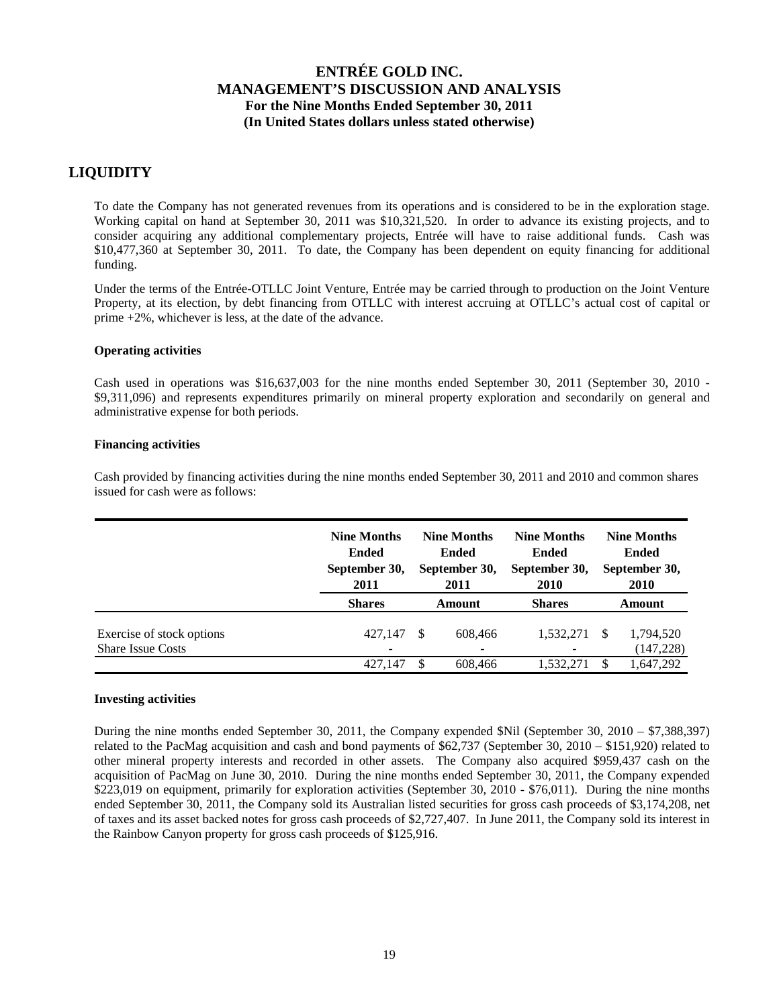## **LIQUIDITY**

To date the Company has not generated revenues from its operations and is considered to be in the exploration stage. Working capital on hand at September 30, 2011 was \$10,321,520. In order to advance its existing projects, and to consider acquiring any additional complementary projects, Entrée will have to raise additional funds. Cash was \$10,477,360 at September 30, 2011. To date, the Company has been dependent on equity financing for additional funding.

Under the terms of the Entrée-OTLLC Joint Venture, Entrée may be carried through to production on the Joint Venture Property, at its election, by debt financing from OTLLC with interest accruing at OTLLC's actual cost of capital or prime +2%, whichever is less, at the date of the advance.

### **Operating activities**

Cash used in operations was \$16,637,003 for the nine months ended September 30, 2011 (September 30, 2010 - \$9,311,096) and represents expenditures primarily on mineral property exploration and secondarily on general and administrative expense for both periods.

#### **Financing activities**

Cash provided by financing activities during the nine months ended September 30, 2011 and 2010 and common shares issued for cash were as follows:

|                                                       | <b>Nine Months</b><br><b>Ended</b><br>September 30,<br>2011 |   | <b>Nine Months</b><br><b>Ended</b><br>September 30,<br>2011 | <b>Nine Months</b><br><b>Ended</b><br>September 30,<br>2010 |   | <b>Nine Months</b><br><b>Ended</b><br>September 30,<br>2010 |  |  |
|-------------------------------------------------------|-------------------------------------------------------------|---|-------------------------------------------------------------|-------------------------------------------------------------|---|-------------------------------------------------------------|--|--|
|                                                       | <b>Shares</b>                                               |   | Amount                                                      | <b>Shares</b>                                               |   | Amount                                                      |  |  |
| Exercise of stock options<br><b>Share Issue Costs</b> | 427.147<br>-                                                | S | 608.466                                                     | 1,532,271<br>$\overline{\phantom{0}}$                       | S | 1,794,520<br>(147, 228)                                     |  |  |
|                                                       | 427.147                                                     |   | 608.466                                                     | 1.532.271                                                   | S | 1,647,292                                                   |  |  |

### **Investing activities**

During the nine months ended September 30, 2011, the Company expended \$Nil (September 30, 2010 – \$7,388,397) related to the PacMag acquisition and cash and bond payments of \$62,737 (September 30, 2010 – \$151,920) related to other mineral property interests and recorded in other assets. The Company also acquired \$959,437 cash on the acquisition of PacMag on June 30, 2010. During the nine months ended September 30, 2011, the Company expended \$223,019 on equipment, primarily for exploration activities (September 30, 2010 - \$76,011). During the nine months ended September 30, 2011, the Company sold its Australian listed securities for gross cash proceeds of \$3,174,208, net of taxes and its asset backed notes for gross cash proceeds of \$2,727,407. In June 2011, the Company sold its interest in the Rainbow Canyon property for gross cash proceeds of \$125,916.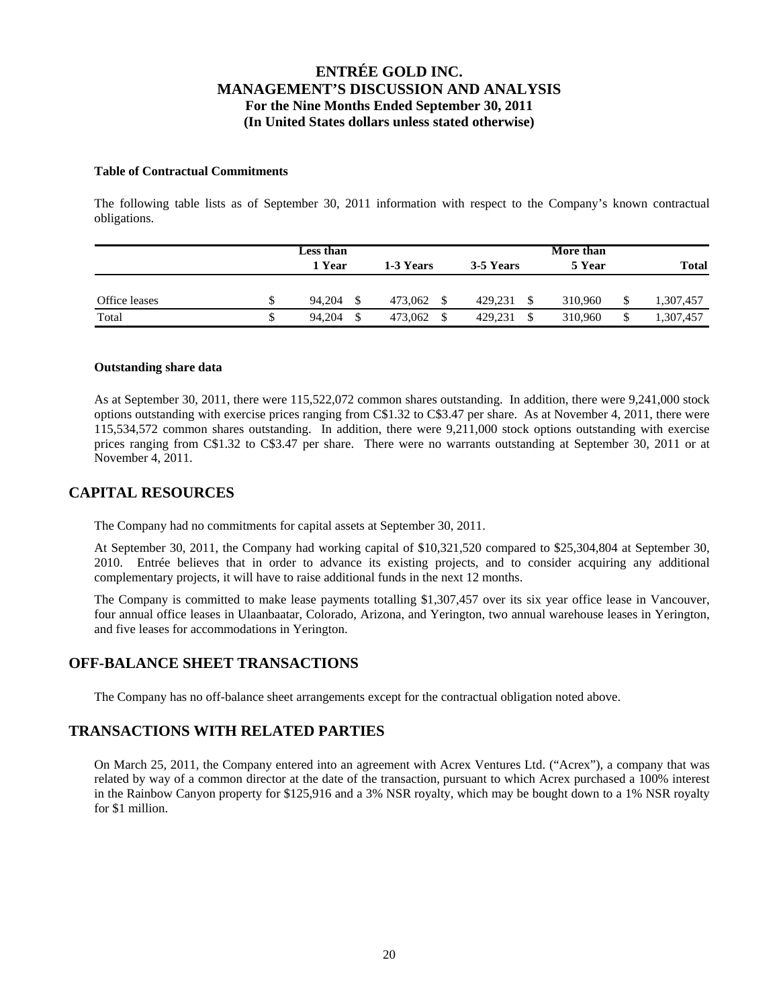### **Table of Contractual Commitments**

The following table lists as of September 30, 2011 information with respect to the Company's known contractual obligations.

|               | <b>Less than</b><br>1 Year<br>1-3 Years |         | 3-5 Years | More than<br>5 Year | <b>Total</b> |  |
|---------------|-----------------------------------------|---------|-----------|---------------------|--------------|--|
| Office leases | 94.204                                  | 473.062 | 429.231   | 310,960             | 1,307,457    |  |
| Total         | 94.204                                  | 473.062 | 429.231   | 310,960<br>\$       | 1,307,457    |  |

#### **Outstanding share data**

As at September 30, 2011, there were 115,522,072 common shares outstanding. In addition, there were 9,241,000 stock options outstanding with exercise prices ranging from C\$1.32 to C\$3.47 per share. As at November 4, 2011, there were 115,534,572 common shares outstanding. In addition, there were 9,211,000 stock options outstanding with exercise prices ranging from C\$1.32 to C\$3.47 per share. There were no warrants outstanding at September 30, 2011 or at November 4, 2011.

# **CAPITAL RESOURCES**

The Company had no commitments for capital assets at September 30, 2011.

At September 30, 2011, the Company had working capital of \$10,321,520 compared to \$25,304,804 at September 30, 2010. Entrée believes that in order to advance its existing projects, and to consider acquiring any additional complementary projects, it will have to raise additional funds in the next 12 months.

The Company is committed to make lease payments totalling \$1,307,457 over its six year office lease in Vancouver, four annual office leases in Ulaanbaatar, Colorado, Arizona, and Yerington, two annual warehouse leases in Yerington, and five leases for accommodations in Yerington.

## **OFF-BALANCE SHEET TRANSACTIONS**

The Company has no off-balance sheet arrangements except for the contractual obligation noted above.

## **TRANSACTIONS WITH RELATED PARTIES**

On March 25, 2011, the Company entered into an agreement with Acrex Ventures Ltd. ("Acrex"), a company that was related by way of a common director at the date of the transaction, pursuant to which Acrex purchased a 100% interest in the Rainbow Canyon property for \$125,916 and a 3% NSR royalty, which may be bought down to a 1% NSR royalty for \$1 million.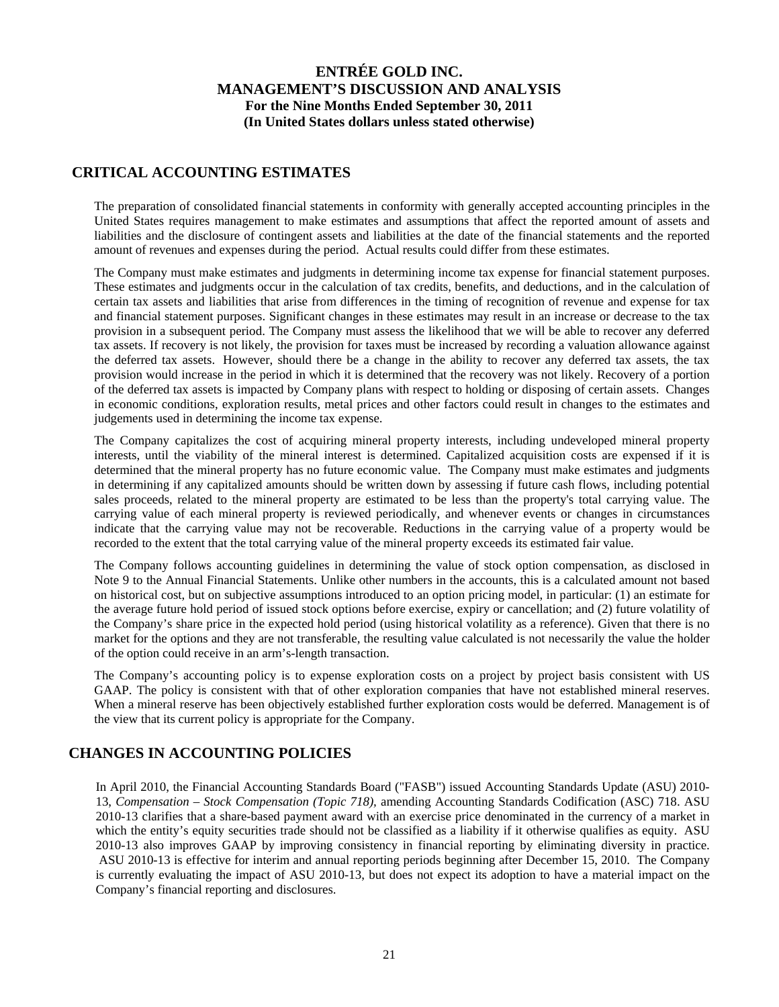## **CRITICAL ACCOUNTING ESTIMATES**

The preparation of consolidated financial statements in conformity with generally accepted accounting principles in the United States requires management to make estimates and assumptions that affect the reported amount of assets and liabilities and the disclosure of contingent assets and liabilities at the date of the financial statements and the reported amount of revenues and expenses during the period. Actual results could differ from these estimates.

The Company must make estimates and judgments in determining income tax expense for financial statement purposes. These estimates and judgments occur in the calculation of tax credits, benefits, and deductions, and in the calculation of certain tax assets and liabilities that arise from differences in the timing of recognition of revenue and expense for tax and financial statement purposes. Significant changes in these estimates may result in an increase or decrease to the tax provision in a subsequent period. The Company must assess the likelihood that we will be able to recover any deferred tax assets. If recovery is not likely, the provision for taxes must be increased by recording a valuation allowance against the deferred tax assets. However, should there be a change in the ability to recover any deferred tax assets, the tax provision would increase in the period in which it is determined that the recovery was not likely. Recovery of a portion of the deferred tax assets is impacted by Company plans with respect to holding or disposing of certain assets. Changes in economic conditions, exploration results, metal prices and other factors could result in changes to the estimates and judgements used in determining the income tax expense.

The Company capitalizes the cost of acquiring mineral property interests, including undeveloped mineral property interests, until the viability of the mineral interest is determined. Capitalized acquisition costs are expensed if it is determined that the mineral property has no future economic value. The Company must make estimates and judgments in determining if any capitalized amounts should be written down by assessing if future cash flows, including potential sales proceeds, related to the mineral property are estimated to be less than the property's total carrying value. The carrying value of each mineral property is reviewed periodically, and whenever events or changes in circumstances indicate that the carrying value may not be recoverable. Reductions in the carrying value of a property would be recorded to the extent that the total carrying value of the mineral property exceeds its estimated fair value.

The Company follows accounting guidelines in determining the value of stock option compensation, as disclosed in Note 9 to the Annual Financial Statements. Unlike other numbers in the accounts, this is a calculated amount not based on historical cost, but on subjective assumptions introduced to an option pricing model, in particular: (1) an estimate for the average future hold period of issued stock options before exercise, expiry or cancellation; and (2) future volatility of the Company's share price in the expected hold period (using historical volatility as a reference). Given that there is no market for the options and they are not transferable, the resulting value calculated is not necessarily the value the holder of the option could receive in an arm's-length transaction.

The Company's accounting policy is to expense exploration costs on a project by project basis consistent with US GAAP. The policy is consistent with that of other exploration companies that have not established mineral reserves. When a mineral reserve has been objectively established further exploration costs would be deferred. Management is of the view that its current policy is appropriate for the Company.

# **CHANGES IN ACCOUNTING POLICIES**

In April 2010, the Financial Accounting Standards Board ("FASB") issued Accounting Standards Update (ASU) 2010- 13, *Compensation – Stock Compensation (Topic 718),* amending Accounting Standards Codification (ASC) 718. ASU 2010-13 clarifies that a share-based payment award with an exercise price denominated in the currency of a market in which the entity's equity securities trade should not be classified as a liability if it otherwise qualifies as equity. ASU 2010-13 also improves GAAP by improving consistency in financial reporting by eliminating diversity in practice. ASU 2010-13 is effective for interim and annual reporting periods beginning after December 15, 2010. The Company is currently evaluating the impact of ASU 2010-13, but does not expect its adoption to have a material impact on the Company's financial reporting and disclosures.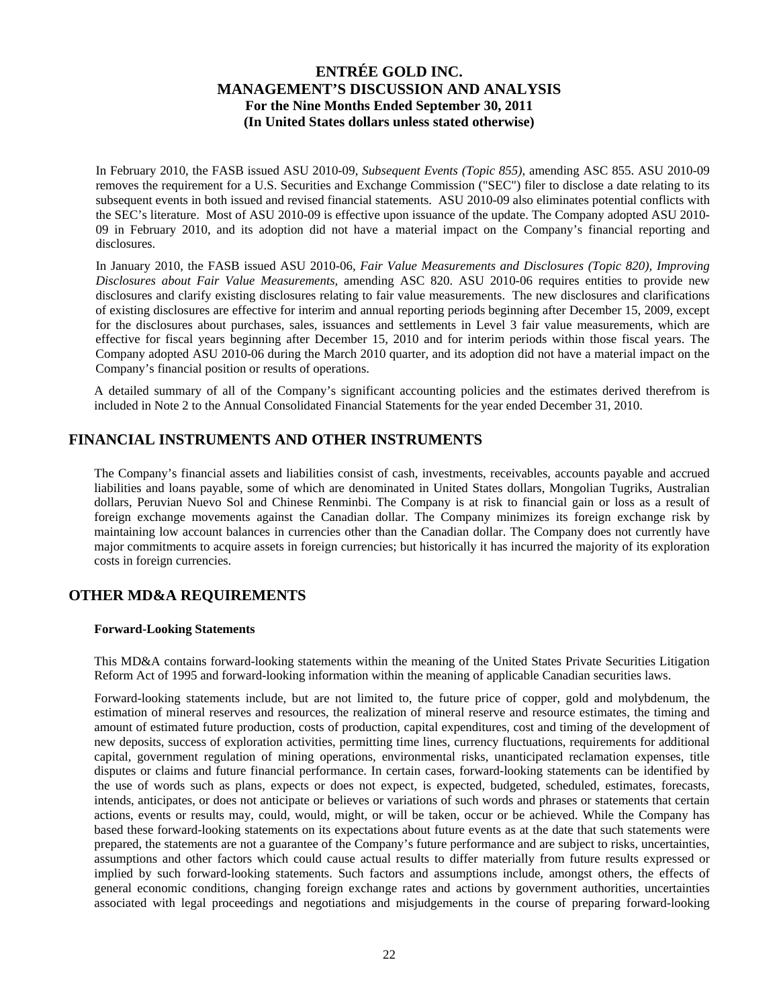In February 2010, the FASB issued ASU 2010-09, *Subsequent Events (Topic 855),* amending ASC 855. ASU 2010-09 removes the requirement for a U.S. Securities and Exchange Commission ("SEC") filer to disclose a date relating to its subsequent events in both issued and revised financial statements. ASU 2010-09 also eliminates potential conflicts with the SEC's literature. Most of ASU 2010-09 is effective upon issuance of the update. The Company adopted ASU 2010- 09 in February 2010, and its adoption did not have a material impact on the Company's financial reporting and disclosures.

In January 2010, the FASB issued ASU 2010-06, *Fair Value Measurements and Disclosures (Topic 820), Improving Disclosures about Fair Value Measurements,* amending ASC 820. ASU 2010-06 requires entities to provide new disclosures and clarify existing disclosures relating to fair value measurements. The new disclosures and clarifications of existing disclosures are effective for interim and annual reporting periods beginning after December 15, 2009, except for the disclosures about purchases, sales, issuances and settlements in Level 3 fair value measurements, which are effective for fiscal years beginning after December 15, 2010 and for interim periods within those fiscal years. The Company adopted ASU 2010-06 during the March 2010 quarter, and its adoption did not have a material impact on the Company's financial position or results of operations.

A detailed summary of all of the Company's significant accounting policies and the estimates derived therefrom is included in Note 2 to the Annual Consolidated Financial Statements for the year ended December 31, 2010.

## **FINANCIAL INSTRUMENTS AND OTHER INSTRUMENTS**

The Company's financial assets and liabilities consist of cash, investments, receivables, accounts payable and accrued liabilities and loans payable, some of which are denominated in United States dollars, Mongolian Tugriks, Australian dollars, Peruvian Nuevo Sol and Chinese Renminbi. The Company is at risk to financial gain or loss as a result of foreign exchange movements against the Canadian dollar. The Company minimizes its foreign exchange risk by maintaining low account balances in currencies other than the Canadian dollar. The Company does not currently have major commitments to acquire assets in foreign currencies; but historically it has incurred the majority of its exploration costs in foreign currencies.

## **OTHER MD&A REQUIREMENTS**

### **Forward-Looking Statements**

This MD&A contains forward-looking statements within the meaning of the United States Private Securities Litigation Reform Act of 1995 and forward-looking information within the meaning of applicable Canadian securities laws.

Forward-looking statements include, but are not limited to, the future price of copper, gold and molybdenum, the estimation of mineral reserves and resources, the realization of mineral reserve and resource estimates, the timing and amount of estimated future production, costs of production, capital expenditures, cost and timing of the development of new deposits, success of exploration activities, permitting time lines, currency fluctuations, requirements for additional capital, government regulation of mining operations, environmental risks, unanticipated reclamation expenses, title disputes or claims and future financial performance. In certain cases, forward-looking statements can be identified by the use of words such as plans, expects or does not expect, is expected, budgeted, scheduled, estimates, forecasts, intends, anticipates, or does not anticipate or believes or variations of such words and phrases or statements that certain actions, events or results may, could, would, might, or will be taken, occur or be achieved. While the Company has based these forward-looking statements on its expectations about future events as at the date that such statements were prepared, the statements are not a guarantee of the Company's future performance and are subject to risks, uncertainties, assumptions and other factors which could cause actual results to differ materially from future results expressed or implied by such forward-looking statements. Such factors and assumptions include, amongst others, the effects of general economic conditions, changing foreign exchange rates and actions by government authorities, uncertainties associated with legal proceedings and negotiations and misjudgements in the course of preparing forward-looking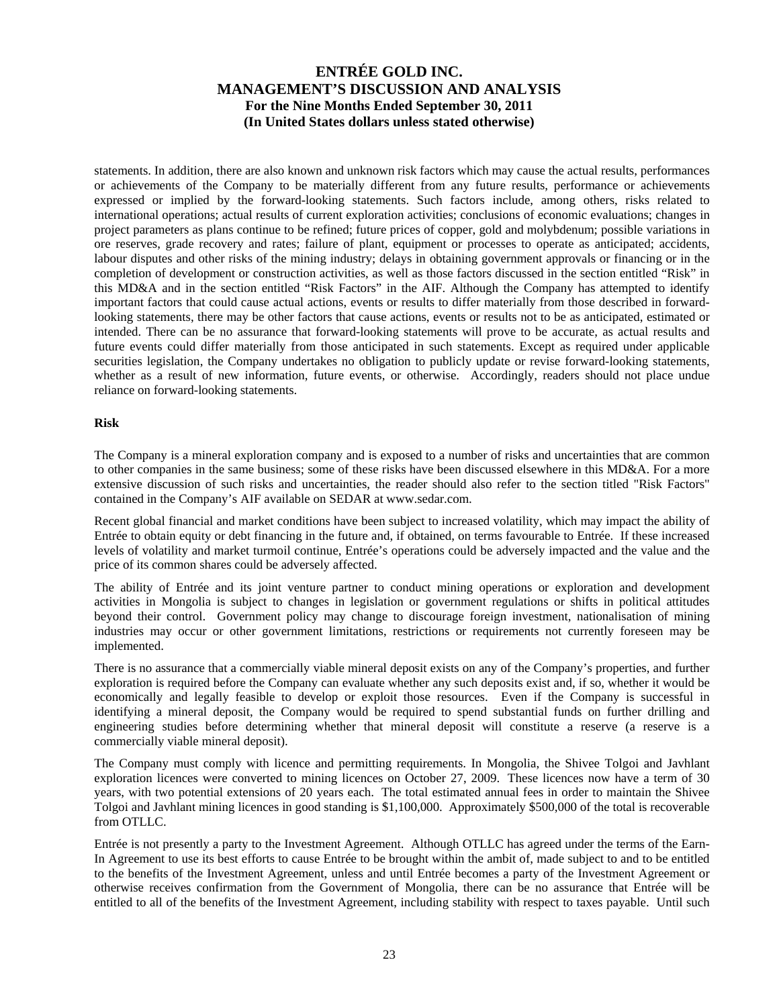statements. In addition, there are also known and unknown risk factors which may cause the actual results, performances or achievements of the Company to be materially different from any future results, performance or achievements expressed or implied by the forward-looking statements. Such factors include, among others, risks related to international operations; actual results of current exploration activities; conclusions of economic evaluations; changes in project parameters as plans continue to be refined; future prices of copper, gold and molybdenum; possible variations in ore reserves, grade recovery and rates; failure of plant, equipment or processes to operate as anticipated; accidents, labour disputes and other risks of the mining industry; delays in obtaining government approvals or financing or in the completion of development or construction activities, as well as those factors discussed in the section entitled "Risk" in this MD&A and in the section entitled "Risk Factors" in the AIF. Although the Company has attempted to identify important factors that could cause actual actions, events or results to differ materially from those described in forwardlooking statements, there may be other factors that cause actions, events or results not to be as anticipated, estimated or intended. There can be no assurance that forward-looking statements will prove to be accurate, as actual results and future events could differ materially from those anticipated in such statements. Except as required under applicable securities legislation, the Company undertakes no obligation to publicly update or revise forward-looking statements, whether as a result of new information, future events, or otherwise. Accordingly, readers should not place undue reliance on forward-looking statements.

#### **Risk**

The Company is a mineral exploration company and is exposed to a number of risks and uncertainties that are common to other companies in the same business; some of these risks have been discussed elsewhere in this MD&A. For a more extensive discussion of such risks and uncertainties, the reader should also refer to the section titled "Risk Factors" contained in the Company's AIF available on SEDAR at www.sedar.com.

Recent global financial and market conditions have been subject to increased volatility, which may impact the ability of Entrée to obtain equity or debt financing in the future and, if obtained, on terms favourable to Entrée. If these increased levels of volatility and market turmoil continue, Entrée's operations could be adversely impacted and the value and the price of its common shares could be adversely affected.

The ability of Entrée and its joint venture partner to conduct mining operations or exploration and development activities in Mongolia is subject to changes in legislation or government regulations or shifts in political attitudes beyond their control. Government policy may change to discourage foreign investment, nationalisation of mining industries may occur or other government limitations, restrictions or requirements not currently foreseen may be implemented.

There is no assurance that a commercially viable mineral deposit exists on any of the Company's properties, and further exploration is required before the Company can evaluate whether any such deposits exist and, if so, whether it would be economically and legally feasible to develop or exploit those resources. Even if the Company is successful in identifying a mineral deposit, the Company would be required to spend substantial funds on further drilling and engineering studies before determining whether that mineral deposit will constitute a reserve (a reserve is a commercially viable mineral deposit).

The Company must comply with licence and permitting requirements. In Mongolia, the Shivee Tolgoi and Javhlant exploration licences were converted to mining licences on October 27, 2009. These licences now have a term of 30 years, with two potential extensions of 20 years each. The total estimated annual fees in order to maintain the Shivee Tolgoi and Javhlant mining licences in good standing is \$1,100,000. Approximately \$500,000 of the total is recoverable from OTLLC.

Entrée is not presently a party to the Investment Agreement. Although OTLLC has agreed under the terms of the Earn-In Agreement to use its best efforts to cause Entrée to be brought within the ambit of, made subject to and to be entitled to the benefits of the Investment Agreement, unless and until Entrée becomes a party of the Investment Agreement or otherwise receives confirmation from the Government of Mongolia, there can be no assurance that Entrée will be entitled to all of the benefits of the Investment Agreement, including stability with respect to taxes payable. Until such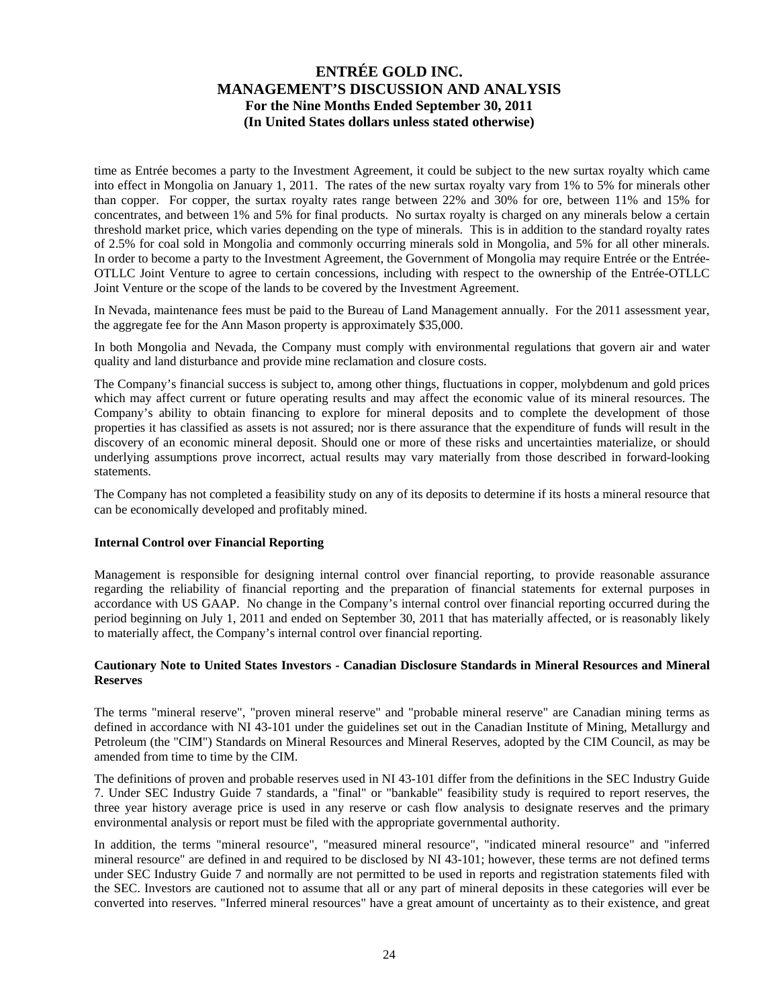time as Entrée becomes a party to the Investment Agreement, it could be subject to the new surtax royalty which came into effect in Mongolia on January 1, 2011. The rates of the new surtax royalty vary from 1% to 5% for minerals other than copper. For copper, the surtax royalty rates range between 22% and 30% for ore, between 11% and 15% for concentrates, and between 1% and 5% for final products. No surtax royalty is charged on any minerals below a certain threshold market price, which varies depending on the type of minerals. This is in addition to the standard royalty rates of 2.5% for coal sold in Mongolia and commonly occurring minerals sold in Mongolia, and 5% for all other minerals. In order to become a party to the Investment Agreement, the Government of Mongolia may require Entrée or the Entrée-OTLLC Joint Venture to agree to certain concessions, including with respect to the ownership of the Entrée-OTLLC Joint Venture or the scope of the lands to be covered by the Investment Agreement.

In Nevada, maintenance fees must be paid to the Bureau of Land Management annually. For the 2011 assessment year, the aggregate fee for the Ann Mason property is approximately \$35,000.

In both Mongolia and Nevada, the Company must comply with environmental regulations that govern air and water quality and land disturbance and provide mine reclamation and closure costs.

The Company's financial success is subject to, among other things, fluctuations in copper, molybdenum and gold prices which may affect current or future operating results and may affect the economic value of its mineral resources. The Company's ability to obtain financing to explore for mineral deposits and to complete the development of those properties it has classified as assets is not assured; nor is there assurance that the expenditure of funds will result in the discovery of an economic mineral deposit. Should one or more of these risks and uncertainties materialize, or should underlying assumptions prove incorrect, actual results may vary materially from those described in forward-looking statements.

The Company has not completed a feasibility study on any of its deposits to determine if its hosts a mineral resource that can be economically developed and profitably mined.

#### **Internal Control over Financial Reporting**

Management is responsible for designing internal control over financial reporting, to provide reasonable assurance regarding the reliability of financial reporting and the preparation of financial statements for external purposes in accordance with US GAAP. No change in the Company's internal control over financial reporting occurred during the period beginning on July 1, 2011 and ended on September 30, 2011 that has materially affected, or is reasonably likely to materially affect, the Company's internal control over financial reporting.

### **Cautionary Note to United States Investors - Canadian Disclosure Standards in Mineral Resources and Mineral Reserves**

The terms "mineral reserve", "proven mineral reserve" and "probable mineral reserve" are Canadian mining terms as defined in accordance with NI 43-101 under the guidelines set out in the Canadian Institute of Mining, Metallurgy and Petroleum (the "CIM") Standards on Mineral Resources and Mineral Reserves, adopted by the CIM Council, as may be amended from time to time by the CIM.

The definitions of proven and probable reserves used in NI 43-101 differ from the definitions in the SEC Industry Guide 7. Under SEC Industry Guide 7 standards, a "final" or "bankable" feasibility study is required to report reserves, the three year history average price is used in any reserve or cash flow analysis to designate reserves and the primary environmental analysis or report must be filed with the appropriate governmental authority.

In addition, the terms "mineral resource", "measured mineral resource", "indicated mineral resource" and "inferred mineral resource" are defined in and required to be disclosed by NI 43-101; however, these terms are not defined terms under SEC Industry Guide 7 and normally are not permitted to be used in reports and registration statements filed with the SEC. Investors are cautioned not to assume that all or any part of mineral deposits in these categories will ever be converted into reserves. "Inferred mineral resources" have a great amount of uncertainty as to their existence, and great